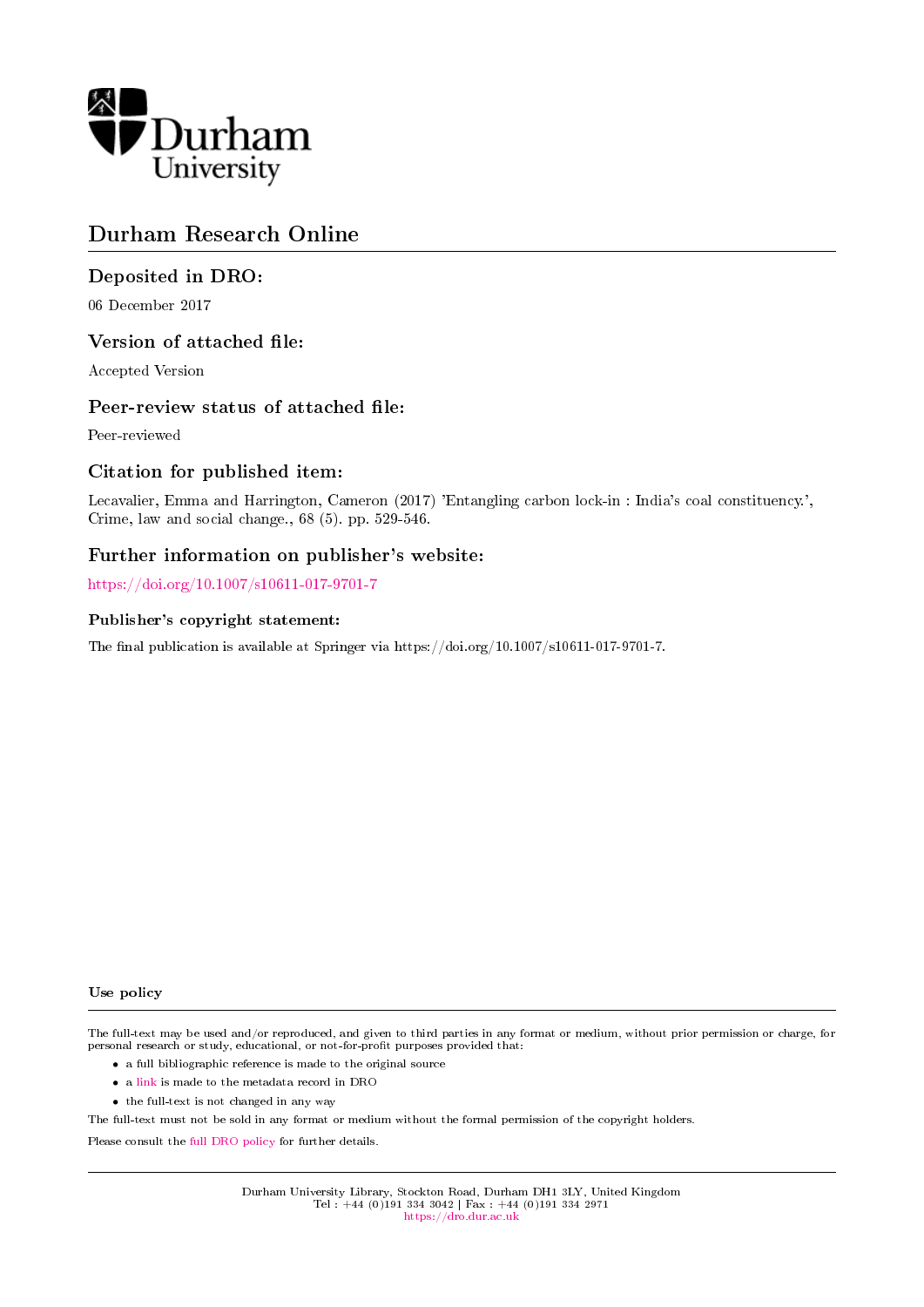

# Durham Research Online

# Deposited in DRO:

06 December 2017

# Version of attached file:

Accepted Version

# Peer-review status of attached file:

Peer-reviewed

# Citation for published item:

Lecavalier, Emma and Harrington, Cameron (2017) 'Entangling carbon lock-in : India's coal constituency.', Crime, law and social change., 68 (5). pp. 529-546.

# Further information on publisher's website:

<https://doi.org/10.1007/s10611-017-9701-7>

#### Publisher's copyright statement:

The final publication is available at Springer via https://doi.org/10.1007/s10611-017-9701-7.

#### Use policy

The full-text may be used and/or reproduced, and given to third parties in any format or medium, without prior permission or charge, for personal research or study, educational, or not-for-profit purposes provided that:

- a full bibliographic reference is made to the original source
- a [link](http://dro.dur.ac.uk/23636/) is made to the metadata record in DRO
- the full-text is not changed in any way

The full-text must not be sold in any format or medium without the formal permission of the copyright holders.

Please consult the [full DRO policy](https://dro.dur.ac.uk/policies/usepolicy.pdf) for further details.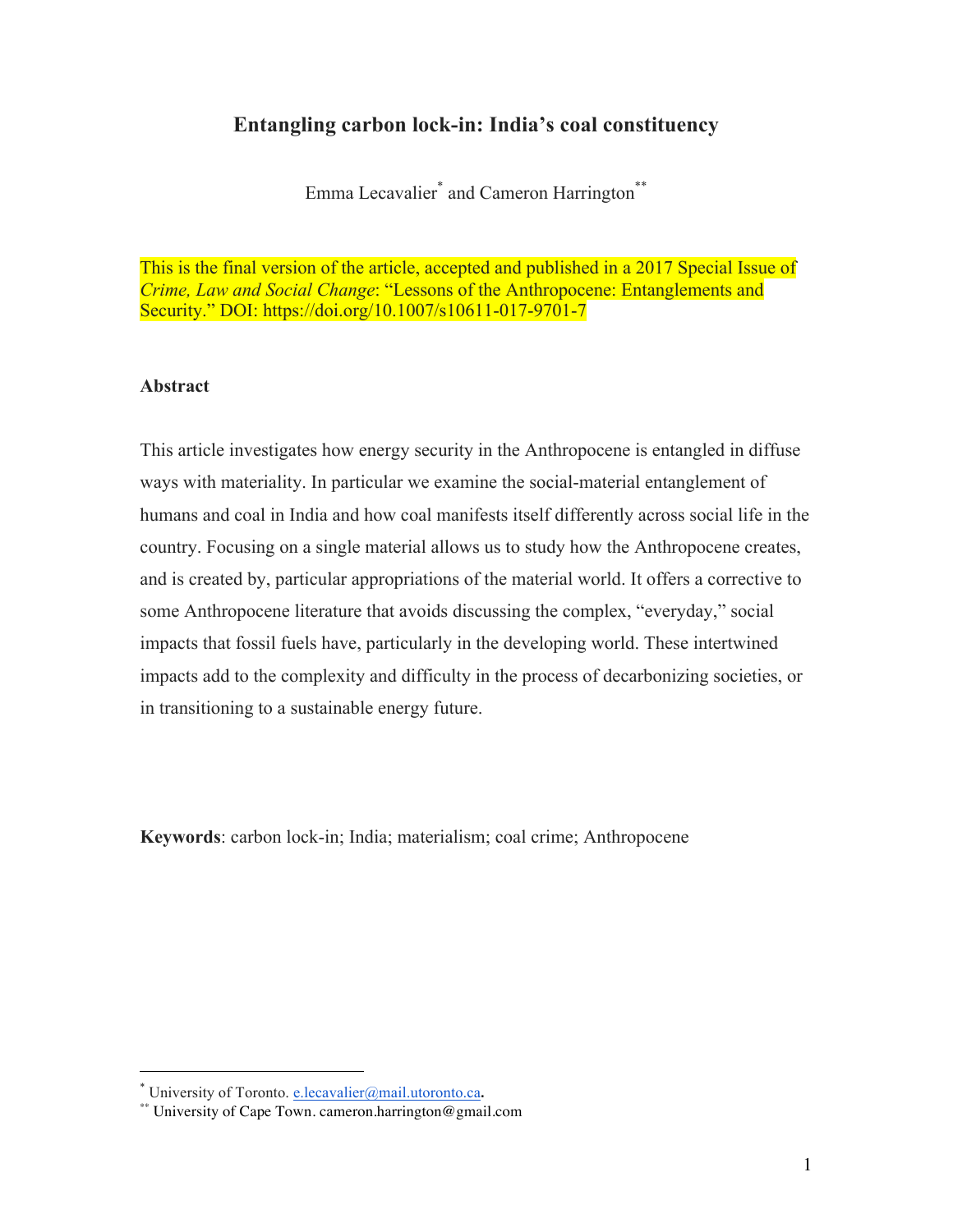# **Entangling carbon lock-in: India's coal constituency**

Emma Lecavalier\* and Cameron Harrington\*\*

This is the final version of the article, accepted and published in a 2017 Special Issue of *Crime, Law and Social Change*: "Lessons of the Anthropocene: Entanglements and Security." DOI: https://doi.org/10.1007/s10611-017-9701-7

## **Abstract**

This article investigates how energy security in the Anthropocene is entangled in diffuse ways with materiality. In particular we examine the social-material entanglement of humans and coal in India and how coal manifests itself differently across social life in the country. Focusing on a single material allows us to study how the Anthropocene creates, and is created by, particular appropriations of the material world. It offers a corrective to some Anthropocene literature that avoids discussing the complex, "everyday," social impacts that fossil fuels have, particularly in the developing world. These intertwined impacts add to the complexity and difficulty in the process of decarbonizing societies, or in transitioning to a sustainable energy future.

**Keywords**: carbon lock-in; India; materialism; coal crime; Anthropocene

<sup>\*</sup> University of Toronto. e.lecavalier@mail.utoronto.ca.

<sup>\*\*</sup> University of Cape Town. cameron.harrington@gmail.com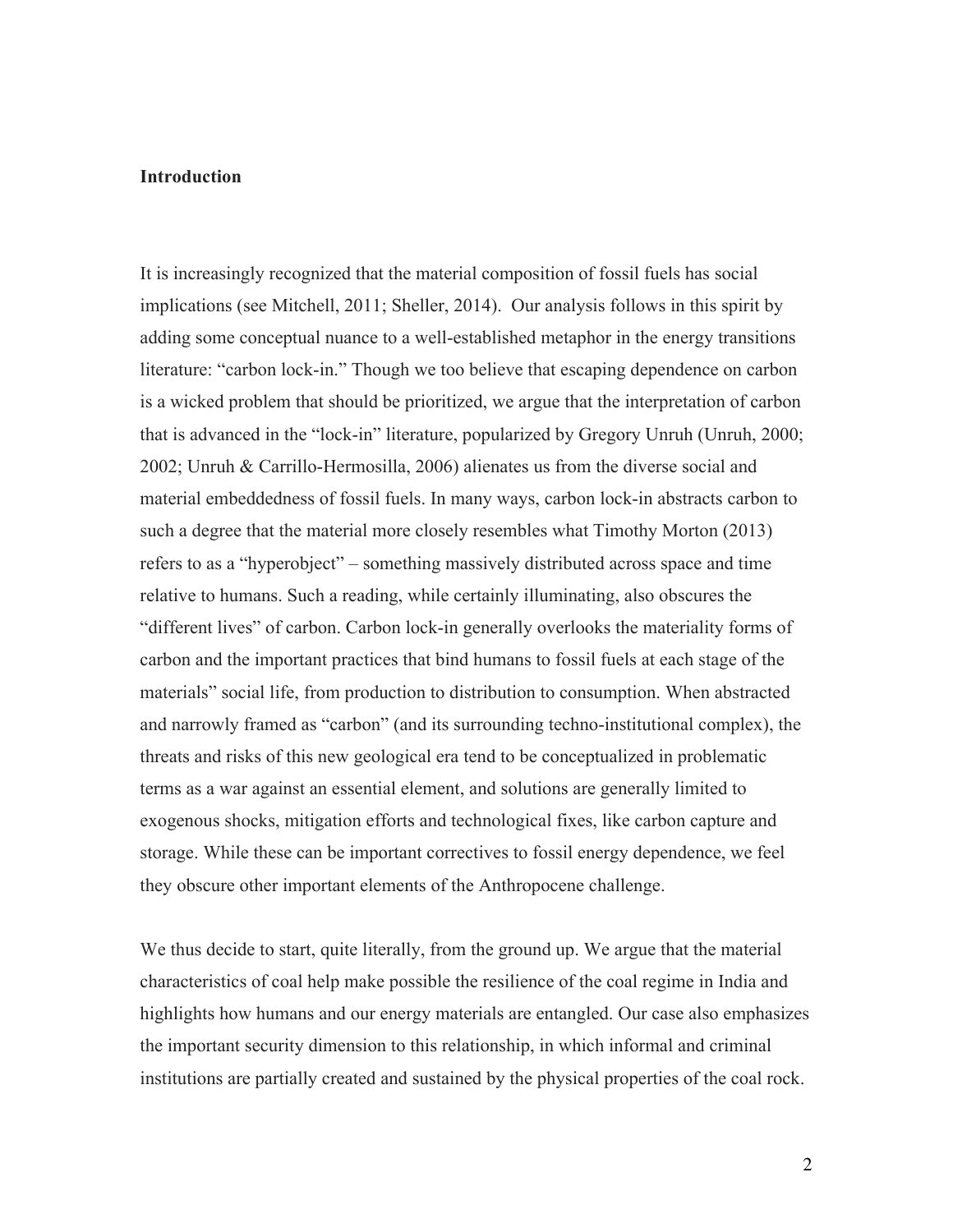#### **Introduction**

It is increasingly recognized that the material composition of fossil fuels has social implications (see Mitchell, 2011; Sheller, 2014). Our analysis follows in this spirit by adding some conceptual nuance to a well-established metaphor in the energy transitions literature: "carbon lock-in." Though we too believe that escaping dependence on carbon is a wicked problem that should be prioritized, we argue that the interpretation of carbon that is advanced in the "lock-in" literature, popularized by Gregory Unruh (Unruh, 2000; 2002; Unruh & Carrillo-Hermosilla, 2006) alienates us from the diverse social and material embeddedness of fossil fuels. In many ways, carbon lock-in abstracts carbon to such a degree that the material more closely resembles what Timothy Morton (2013) refers to as a "hyperobject" – something massively distributed across space and time relative to humans. Such a reading, while certainly illuminating, also obscures the "different lives" of carbon. Carbon lock-in generally overlooks the materiality forms of carbon and the important practices that bind humans to fossil fuels at each stage of the materials" social life, from production to distribution to consumption. When abstracted and narrowly framed as "carbon" (and its surrounding techno-institutional complex), the threats and risks of this new geological era tend to be conceptualized in problematic terms as a war against an essential element, and solutions are generally limited to exogenous shocks, mitigation efforts and technological fixes, like carbon capture and storage. While these can be important correctives to fossil energy dependence, we feel they obscure other important elements of the Anthropocene challenge.

We thus decide to start, quite literally, from the ground up. We argue that the material characteristics of coal help make possible the resilience of the coal regime in India and highlights how humans and our energy materials are entangled. Our case also emphasizes the important security dimension to this relationship, in which informal and criminal institutions are partially created and sustained by the physical properties of the coal rock.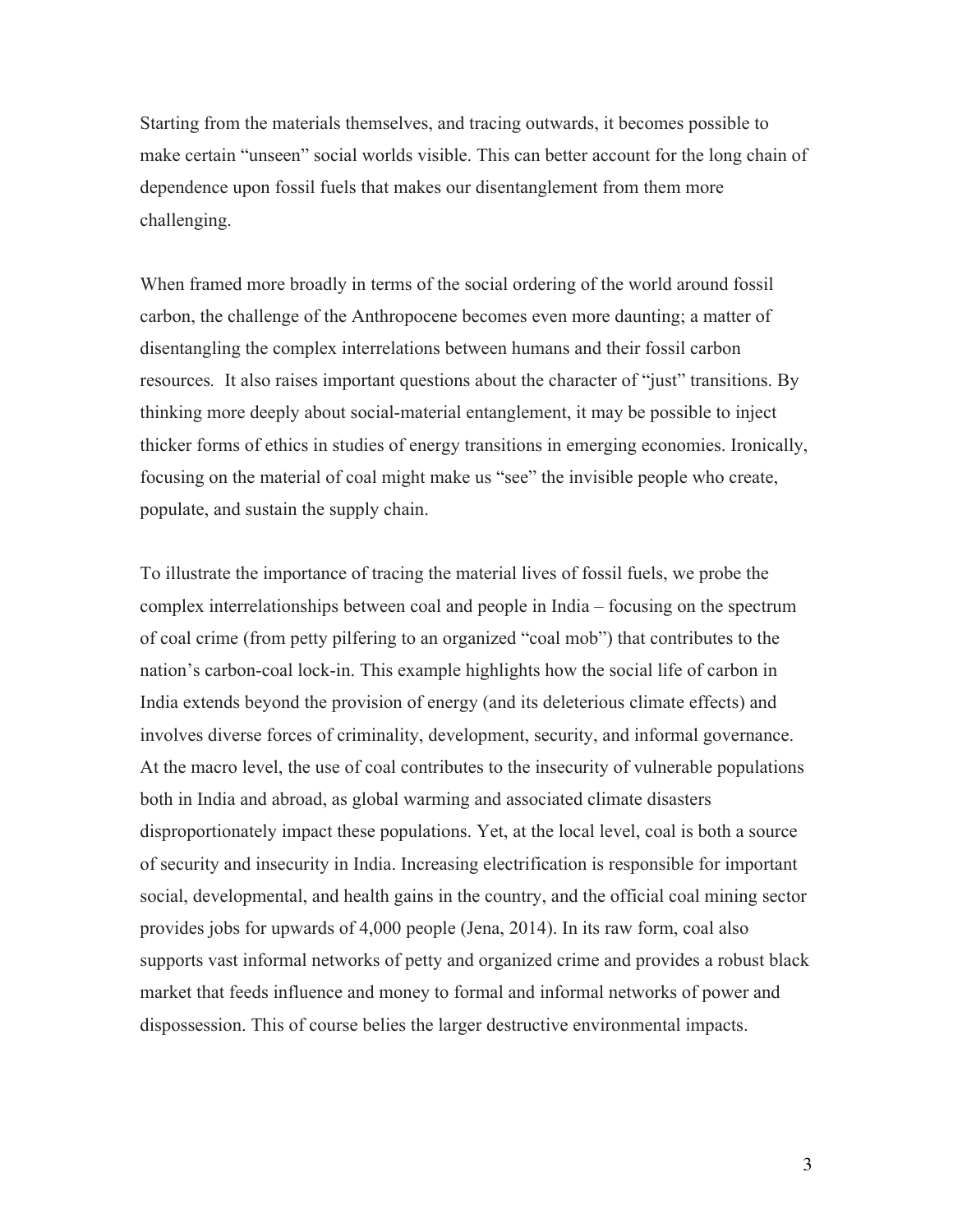Starting from the materials themselves, and tracing outwards, it becomes possible to make certain "unseen" social worlds visible. This can better account for the long chain of dependence upon fossil fuels that makes our disentanglement from them more challenging.

When framed more broadly in terms of the social ordering of the world around fossil carbon, the challenge of the Anthropocene becomes even more daunting; a matter of disentangling the complex interrelations between humans and their fossil carbon resources. It also raises important questions about the character of "just" transitions. By thinking more deeply about social-material entanglement, it may be possible to inject thicker forms of ethics in studies of energy transitions in emerging economies. Ironically, focusing on the material of coal might make us "see" the invisible people who create, populate, and sustain the supply chain.

To illustrate the importance of tracing the material lives of fossil fuels, we probe the complex interrelationships between coal and people in India – focusing on the spectrum of coal crime (from petty pilfering to an organized "coal mob") that contributes to the nation's carbon-coal lock-in. This example highlights how the social life of carbon in India extends beyond the provision of energy (and its deleterious climate effects) and involves diverse forces of criminality, development, security, and informal governance. At the macro level, the use of coal contributes to the insecurity of vulnerable populations both in India and abroad, as global warming and associated climate disasters disproportionately impact these populations. Yet, at the local level, coal is both a source of security and insecurity in India. Increasing electrification is responsible for important social, developmental, and health gains in the country, and the official coal mining sector provides jobs for upwards of 4,000 people (Jena, 2014). In its raw form, coal also supports vast informal networks of petty and organized crime and provides a robust black market that feeds influence and money to formal and informal networks of power and dispossession. This of course belies the larger destructive environmental impacts.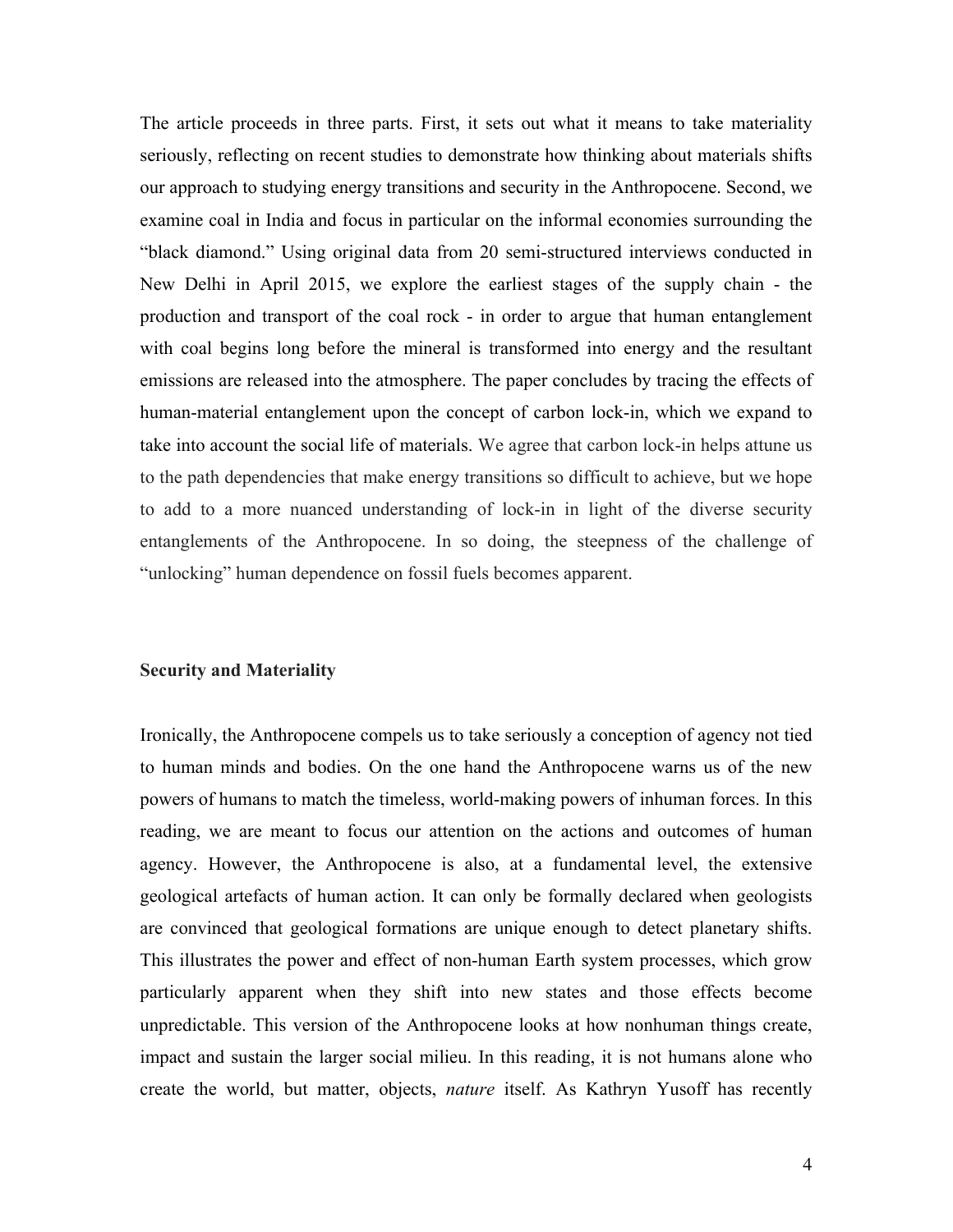The article proceeds in three parts. First, it sets out what it means to take materiality seriously, reflecting on recent studies to demonstrate how thinking about materials shifts our approach to studying energy transitions and security in the Anthropocene. Second, we examine coal in India and focus in particular on the informal economies surrounding the "black diamond." Using original data from 20 semi-structured interviews conducted in New Delhi in April 2015, we explore the earliest stages of the supply chain - the production and transport of the coal rock - in order to argue that human entanglement with coal begins long before the mineral is transformed into energy and the resultant emissions are released into the atmosphere. The paper concludes by tracing the effects of human-material entanglement upon the concept of carbon lock-in, which we expand to take into account the social life of materials. We agree that carbon lock-in helps attune us to the path dependencies that make energy transitions so difficult to achieve, but we hope to add to a more nuanced understanding of lock-in in light of the diverse security entanglements of the Anthropocene. In so doing, the steepness of the challenge of "unlocking" human dependence on fossil fuels becomes apparent.

#### **Security and Materiality**

Ironically, the Anthropocene compels us to take seriously a conception of agency not tied to human minds and bodies. On the one hand the Anthropocene warns us of the new powers of humans to match the timeless, world-making powers of inhuman forces. In this reading, we are meant to focus our attention on the actions and outcomes of human agency. However, the Anthropocene is also, at a fundamental level, the extensive geological artefacts of human action. It can only be formally declared when geologists are convinced that geological formations are unique enough to detect planetary shifts. This illustrates the power and effect of non-human Earth system processes, which grow particularly apparent when they shift into new states and those effects become unpredictable. This version of the Anthropocene looks at how nonhuman things create, impact and sustain the larger social milieu. In this reading, it is not humans alone who create the world, but matter, objects, *nature* itself. As Kathryn Yusoff has recently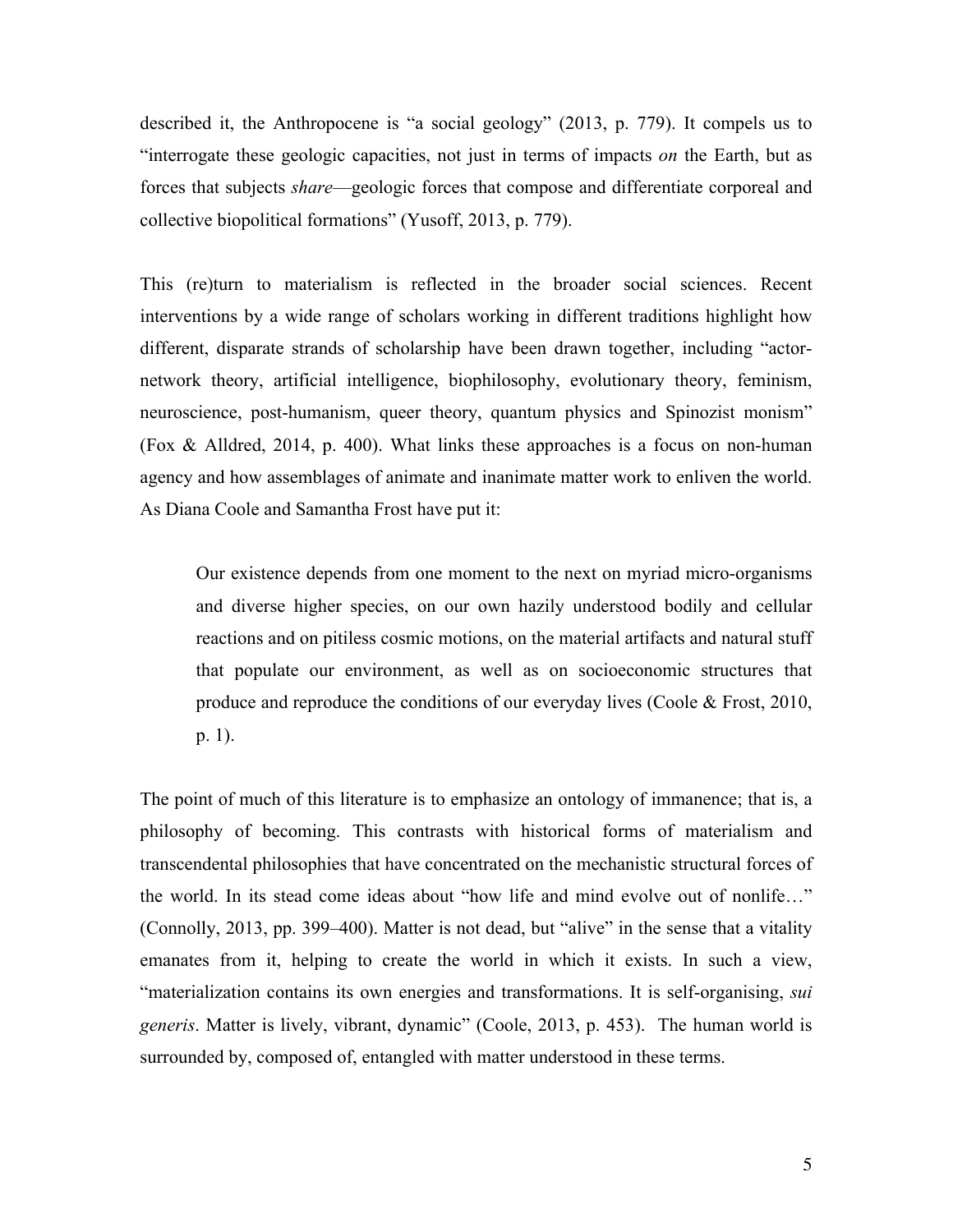described it, the Anthropocene is "a social geology" (2013, p. 779). It compels us to "interrogate these geologic capacities, not just in terms of impacts *on* the Earth, but as forces that subjects *share*—geologic forces that compose and differentiate corporeal and collective biopolitical formations" (Yusoff, 2013, p. 779).

This (re)turn to materialism is reflected in the broader social sciences. Recent interventions by a wide range of scholars working in different traditions highlight how different, disparate strands of scholarship have been drawn together, including "actornetwork theory, artificial intelligence, biophilosophy, evolutionary theory, feminism, neuroscience, post-humanism, queer theory, quantum physics and Spinozist monism" (Fox & Alldred, 2014, p. 400). What links these approaches is a focus on non-human agency and how assemblages of animate and inanimate matter work to enliven the world. As Diana Coole and Samantha Frost have put it:

Our existence depends from one moment to the next on myriad micro-organisms and diverse higher species, on our own hazily understood bodily and cellular reactions and on pitiless cosmic motions, on the material artifacts and natural stuff that populate our environment, as well as on socioeconomic structures that produce and reproduce the conditions of our everyday lives (Coole & Frost, 2010, p. 1).

The point of much of this literature is to emphasize an ontology of immanence; that is, a philosophy of becoming. This contrasts with historical forms of materialism and transcendental philosophies that have concentrated on the mechanistic structural forces of the world. In its stead come ideas about "how life and mind evolve out of nonlife…" (Connolly, 2013, pp. 399–400). Matter is not dead, but "alive" in the sense that a vitality emanates from it, helping to create the world in which it exists. In such a view, "materialization contains its own energies and transformations. It is self-organising, *sui generis*. Matter is lively, vibrant, dynamic" (Coole, 2013, p. 453). The human world is surrounded by, composed of, entangled with matter understood in these terms.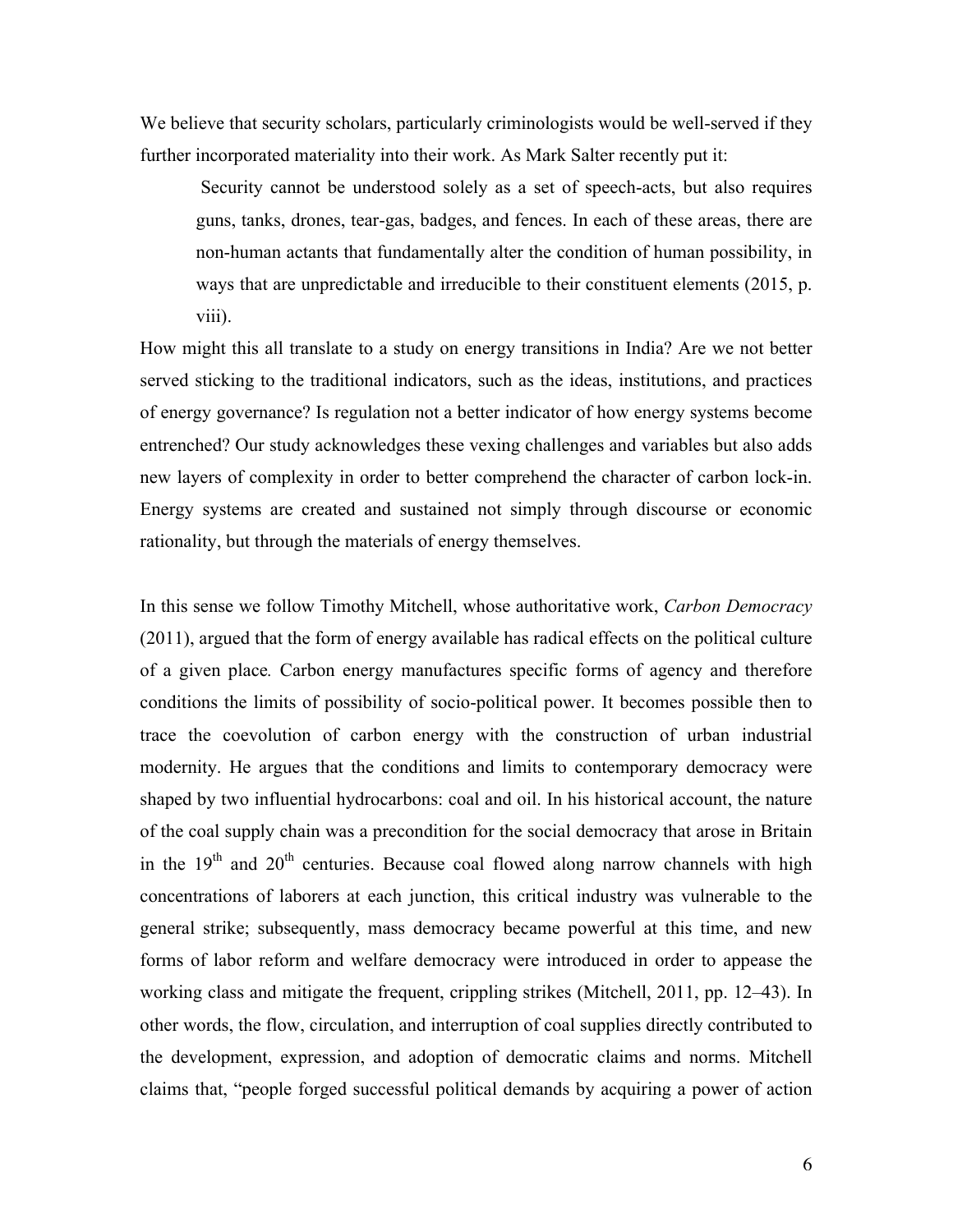We believe that security scholars, particularly criminologists would be well-served if they further incorporated materiality into their work. As Mark Salter recently put it:

Security cannot be understood solely as a set of speech-acts, but also requires guns, tanks, drones, tear-gas, badges, and fences. In each of these areas, there are non-human actants that fundamentally alter the condition of human possibility, in ways that are unpredictable and irreducible to their constituent elements (2015, p. viii).

How might this all translate to a study on energy transitions in India? Are we not better served sticking to the traditional indicators, such as the ideas, institutions, and practices of energy governance? Is regulation not a better indicator of how energy systems become entrenched? Our study acknowledges these vexing challenges and variables but also adds new layers of complexity in order to better comprehend the character of carbon lock-in. Energy systems are created and sustained not simply through discourse or economic rationality, but through the materials of energy themselves.

In this sense we follow Timothy Mitchell, whose authoritative work, *Carbon Democracy* (2011), argued that the form of energy available has radical effects on the political culture of a given place*.* Carbon energy manufactures specific forms of agency and therefore conditions the limits of possibility of socio-political power. It becomes possible then to trace the coevolution of carbon energy with the construction of urban industrial modernity. He argues that the conditions and limits to contemporary democracy were shaped by two influential hydrocarbons: coal and oil. In his historical account, the nature of the coal supply chain was a precondition for the social democracy that arose in Britain in the  $19<sup>th</sup>$  and  $20<sup>th</sup>$  centuries. Because coal flowed along narrow channels with high concentrations of laborers at each junction, this critical industry was vulnerable to the general strike; subsequently, mass democracy became powerful at this time, and new forms of labor reform and welfare democracy were introduced in order to appease the working class and mitigate the frequent, crippling strikes (Mitchell, 2011, pp. 12–43). In other words, the flow, circulation, and interruption of coal supplies directly contributed to the development, expression, and adoption of democratic claims and norms. Mitchell claims that, "people forged successful political demands by acquiring a power of action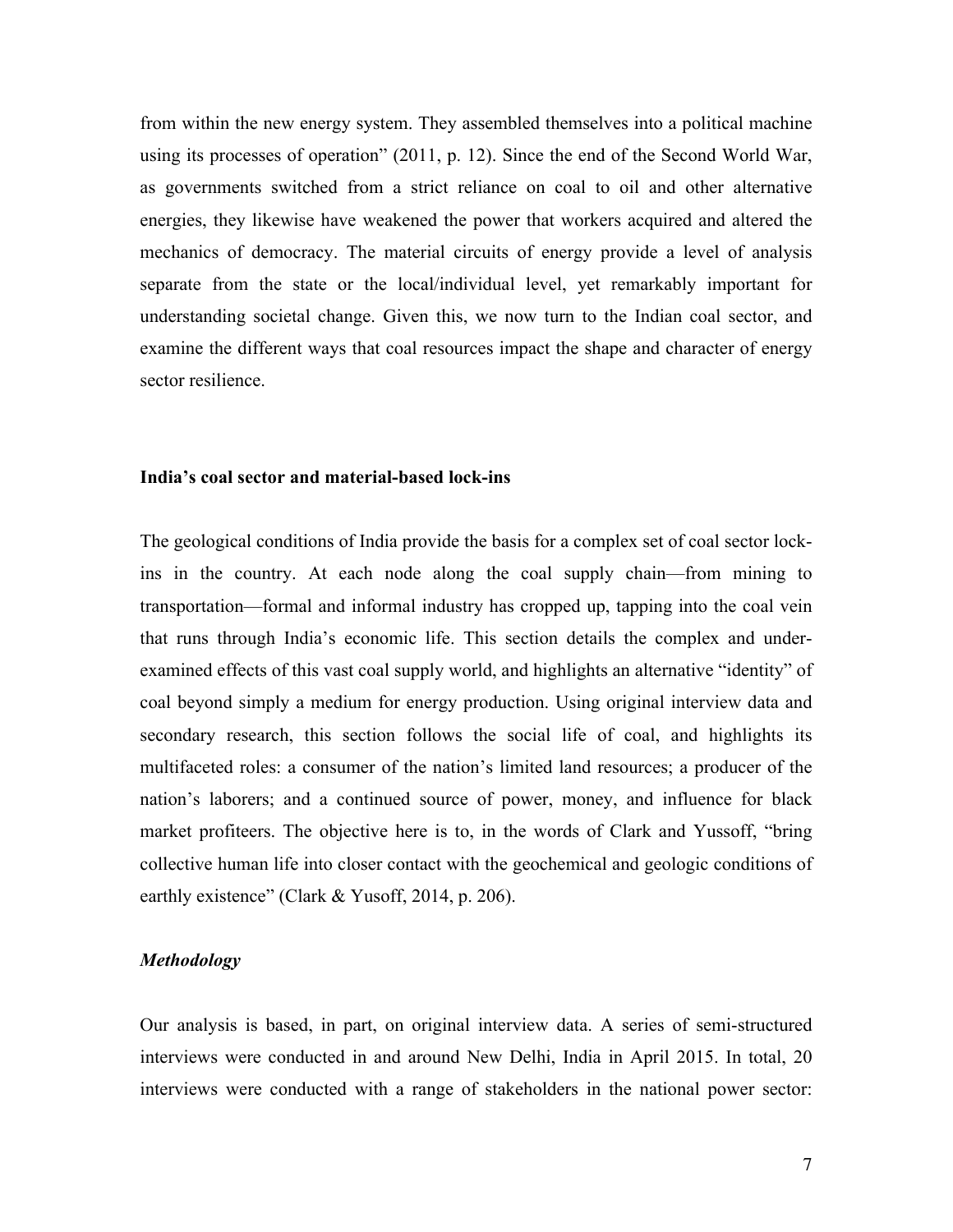from within the new energy system. They assembled themselves into a political machine using its processes of operation" (2011, p. 12). Since the end of the Second World War, as governments switched from a strict reliance on coal to oil and other alternative energies, they likewise have weakened the power that workers acquired and altered the mechanics of democracy. The material circuits of energy provide a level of analysis separate from the state or the local/individual level, yet remarkably important for understanding societal change. Given this, we now turn to the Indian coal sector, and examine the different ways that coal resources impact the shape and character of energy sector resilience.

#### **India's coal sector and material-based lock-ins**

The geological conditions of India provide the basis for a complex set of coal sector lockins in the country. At each node along the coal supply chain—from mining to transportation—formal and informal industry has cropped up, tapping into the coal vein that runs through India's economic life. This section details the complex and underexamined effects of this vast coal supply world, and highlights an alternative "identity" of coal beyond simply a medium for energy production. Using original interview data and secondary research, this section follows the social life of coal, and highlights its multifaceted roles: a consumer of the nation's limited land resources; a producer of the nation's laborers; and a continued source of power, money, and influence for black market profiteers. The objective here is to, in the words of Clark and Yussoff, "bring collective human life into closer contact with the geochemical and geologic conditions of earthly existence" (Clark & Yusoff, 2014, p. 206).

## *Methodology*

Our analysis is based, in part, on original interview data. A series of semi-structured interviews were conducted in and around New Delhi, India in April 2015. In total, 20 interviews were conducted with a range of stakeholders in the national power sector: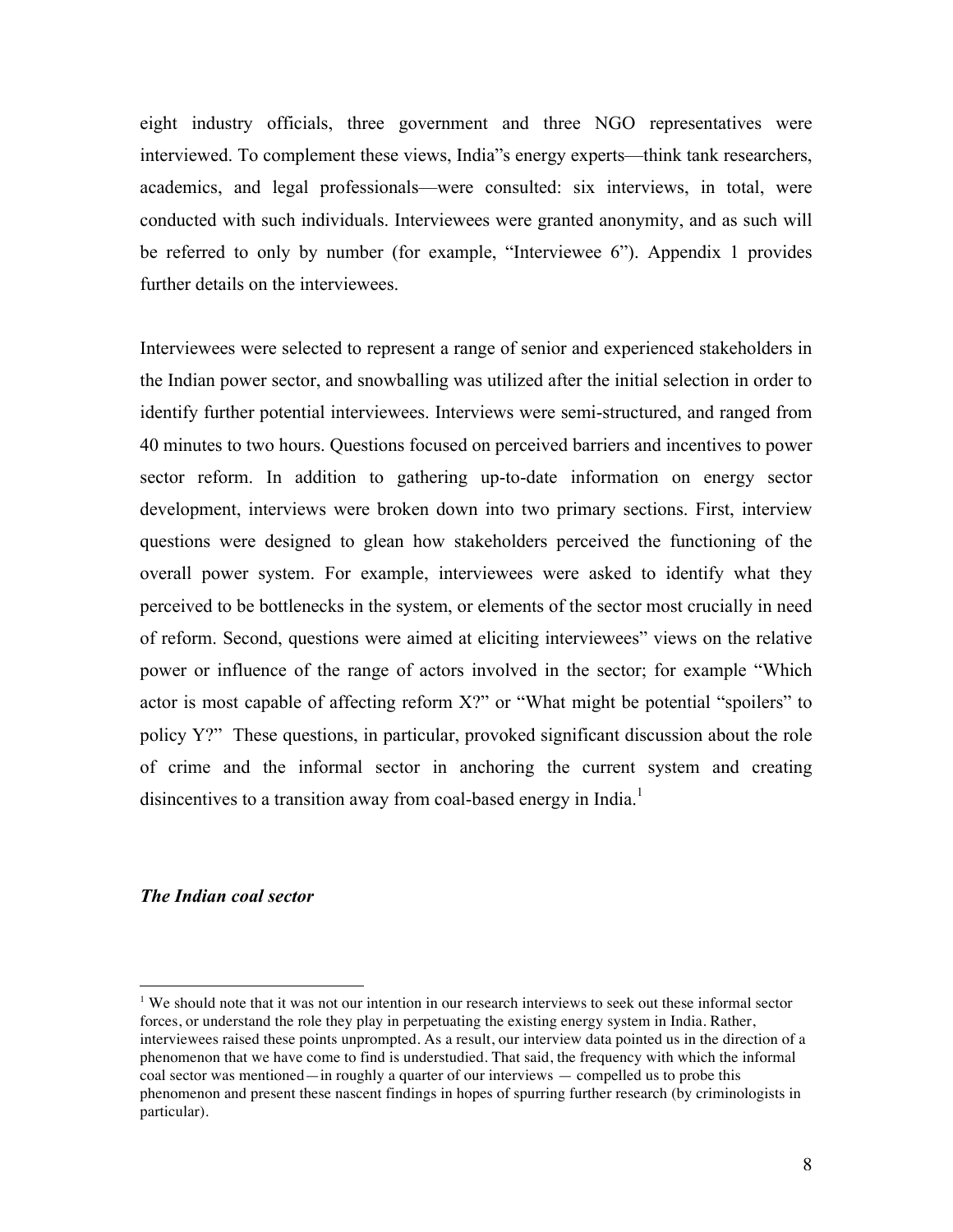eight industry officials, three government and three NGO representatives were interviewed. To complement these views, India"s energy experts—think tank researchers, academics, and legal professionals—were consulted: six interviews, in total, were conducted with such individuals. Interviewees were granted anonymity, and as such will be referred to only by number (for example, "Interviewee 6"). Appendix 1 provides further details on the interviewees.

Interviewees were selected to represent a range of senior and experienced stakeholders in the Indian power sector, and snowballing was utilized after the initial selection in order to identify further potential interviewees. Interviews were semi-structured, and ranged from 40 minutes to two hours. Questions focused on perceived barriers and incentives to power sector reform. In addition to gathering up-to-date information on energy sector development, interviews were broken down into two primary sections. First, interview questions were designed to glean how stakeholders perceived the functioning of the overall power system. For example, interviewees were asked to identify what they perceived to be bottlenecks in the system, or elements of the sector most crucially in need of reform. Second, questions were aimed at eliciting interviewees" views on the relative power or influence of the range of actors involved in the sector; for example "Which actor is most capable of affecting reform X?" or "What might be potential "spoilers" to policy Y?" These questions, in particular, provoked significant discussion about the role of crime and the informal sector in anchoring the current system and creating disincentives to a transition away from coal-based energy in India.<sup>1</sup>

# *The Indian coal sector*

<sup>&</sup>lt;sup>1</sup> We should note that it was not our intention in our research interviews to seek out these informal sector forces, or understand the role they play in perpetuating the existing energy system in India. Rather, interviewees raised these points unprompted. As a result, our interview data pointed us in the direction of a phenomenon that we have come to find is understudied. That said, the frequency with which the informal coal sector was mentioned—in roughly a quarter of our interviews — compelled us to probe this phenomenon and present these nascent findings in hopes of spurring further research (by criminologists in particular).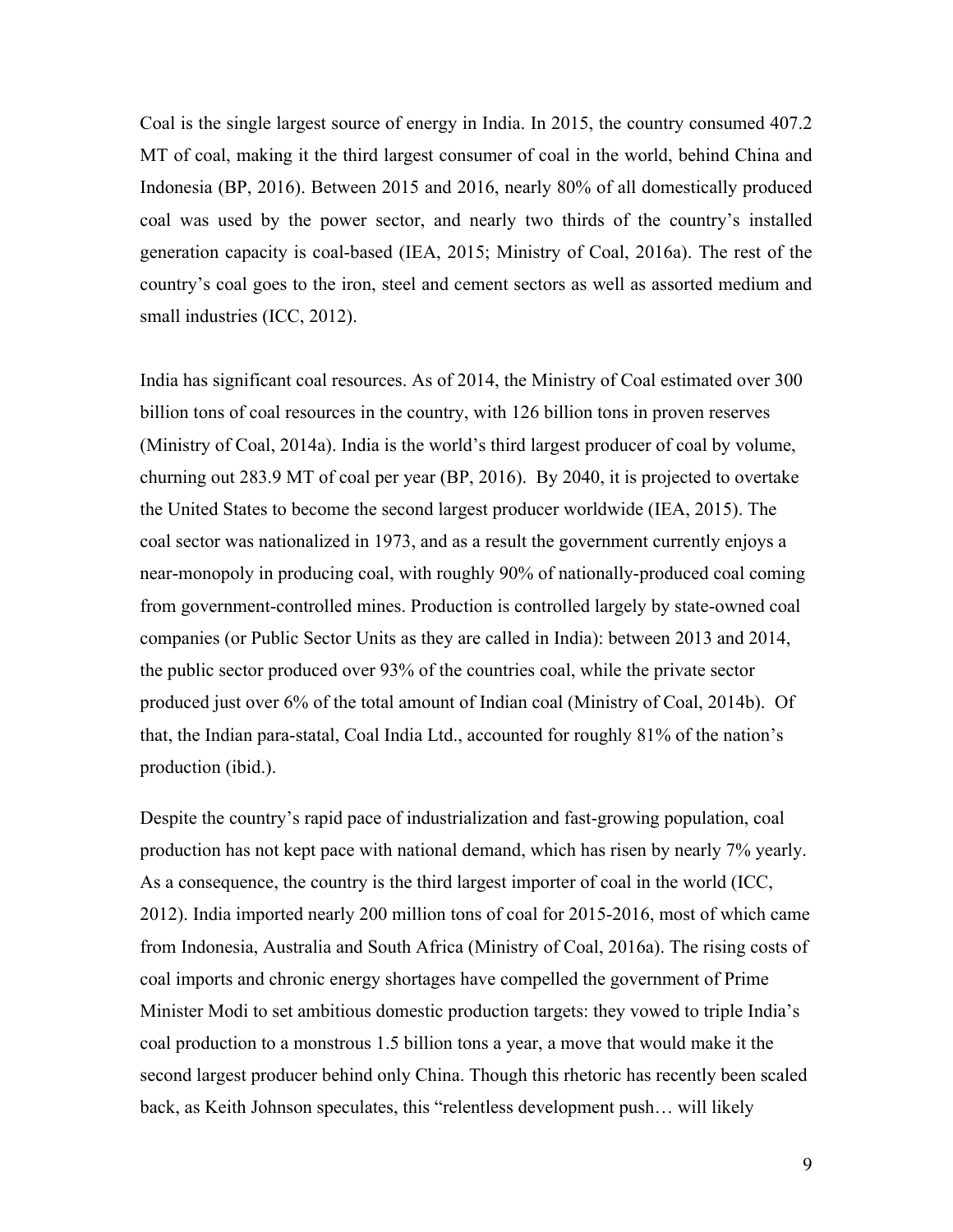Coal is the single largest source of energy in India. In 2015, the country consumed 407.2 MT of coal, making it the third largest consumer of coal in the world, behind China and Indonesia (BP, 2016). Between 2015 and 2016, nearly 80% of all domestically produced coal was used by the power sector, and nearly two thirds of the country's installed generation capacity is coal-based (IEA, 2015; Ministry of Coal, 2016a). The rest of the country's coal goes to the iron, steel and cement sectors as well as assorted medium and small industries (ICC, 2012).

India has significant coal resources. As of 2014, the Ministry of Coal estimated over 300 billion tons of coal resources in the country, with 126 billion tons in proven reserves (Ministry of Coal, 2014a). India is the world's third largest producer of coal by volume, churning out 283.9 MT of coal per year (BP, 2016). By 2040, it is projected to overtake the United States to become the second largest producer worldwide (IEA, 2015). The coal sector was nationalized in 1973, and as a result the government currently enjoys a near-monopoly in producing coal, with roughly 90% of nationally-produced coal coming from government-controlled mines. Production is controlled largely by state-owned coal companies (or Public Sector Units as they are called in India): between 2013 and 2014, the public sector produced over 93% of the countries coal, while the private sector produced just over 6% of the total amount of Indian coal (Ministry of Coal, 2014b). Of that, the Indian para-statal, Coal India Ltd., accounted for roughly 81% of the nation's production (ibid.).

Despite the country's rapid pace of industrialization and fast-growing population, coal production has not kept pace with national demand, which has risen by nearly 7% yearly. As a consequence, the country is the third largest importer of coal in the world (ICC, 2012). India imported nearly 200 million tons of coal for 2015-2016, most of which came from Indonesia, Australia and South Africa (Ministry of Coal, 2016a). The rising costs of coal imports and chronic energy shortages have compelled the government of Prime Minister Modi to set ambitious domestic production targets: they vowed to triple India's coal production to a monstrous 1.5 billion tons a year, a move that would make it the second largest producer behind only China. Though this rhetoric has recently been scaled back, as Keith Johnson speculates, this "relentless development push… will likely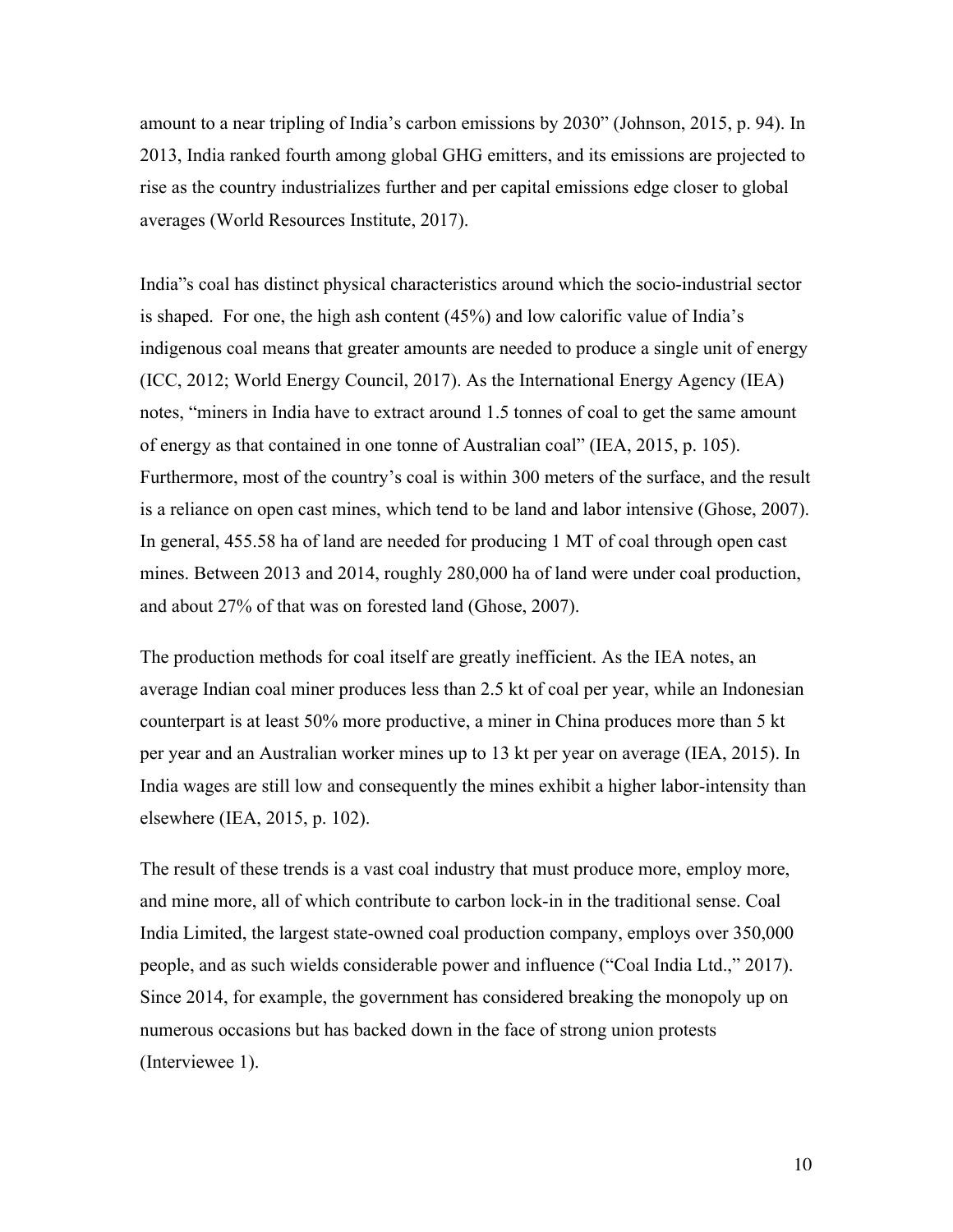amount to a near tripling of India's carbon emissions by 2030" (Johnson, 2015, p. 94). In 2013, India ranked fourth among global GHG emitters, and its emissions are projected to rise as the country industrializes further and per capital emissions edge closer to global averages (World Resources Institute, 2017).

India"s coal has distinct physical characteristics around which the socio-industrial sector is shaped. For one, the high ash content (45%) and low calorific value of India's indigenous coal means that greater amounts are needed to produce a single unit of energy (ICC, 2012; World Energy Council, 2017). As the International Energy Agency (IEA) notes, "miners in India have to extract around 1.5 tonnes of coal to get the same amount of energy as that contained in one tonne of Australian coal" (IEA, 2015, p. 105). Furthermore, most of the country's coal is within 300 meters of the surface, and the result is a reliance on open cast mines, which tend to be land and labor intensive (Ghose, 2007). In general, 455.58 ha of land are needed for producing 1 MT of coal through open cast mines. Between 2013 and 2014, roughly 280,000 ha of land were under coal production, and about 27% of that was on forested land (Ghose, 2007).

The production methods for coal itself are greatly inefficient. As the IEA notes, an average Indian coal miner produces less than 2.5 kt of coal per year, while an Indonesian counterpart is at least 50% more productive, a miner in China produces more than 5 kt per year and an Australian worker mines up to 13 kt per year on average (IEA, 2015). In India wages are still low and consequently the mines exhibit a higher labor-intensity than elsewhere (IEA, 2015, p. 102).

The result of these trends is a vast coal industry that must produce more, employ more, and mine more, all of which contribute to carbon lock-in in the traditional sense. Coal India Limited, the largest state-owned coal production company, employs over 350,000 people, and as such wields considerable power and influence ("Coal India Ltd.," 2017). Since 2014, for example, the government has considered breaking the monopoly up on numerous occasions but has backed down in the face of strong union protests (Interviewee 1).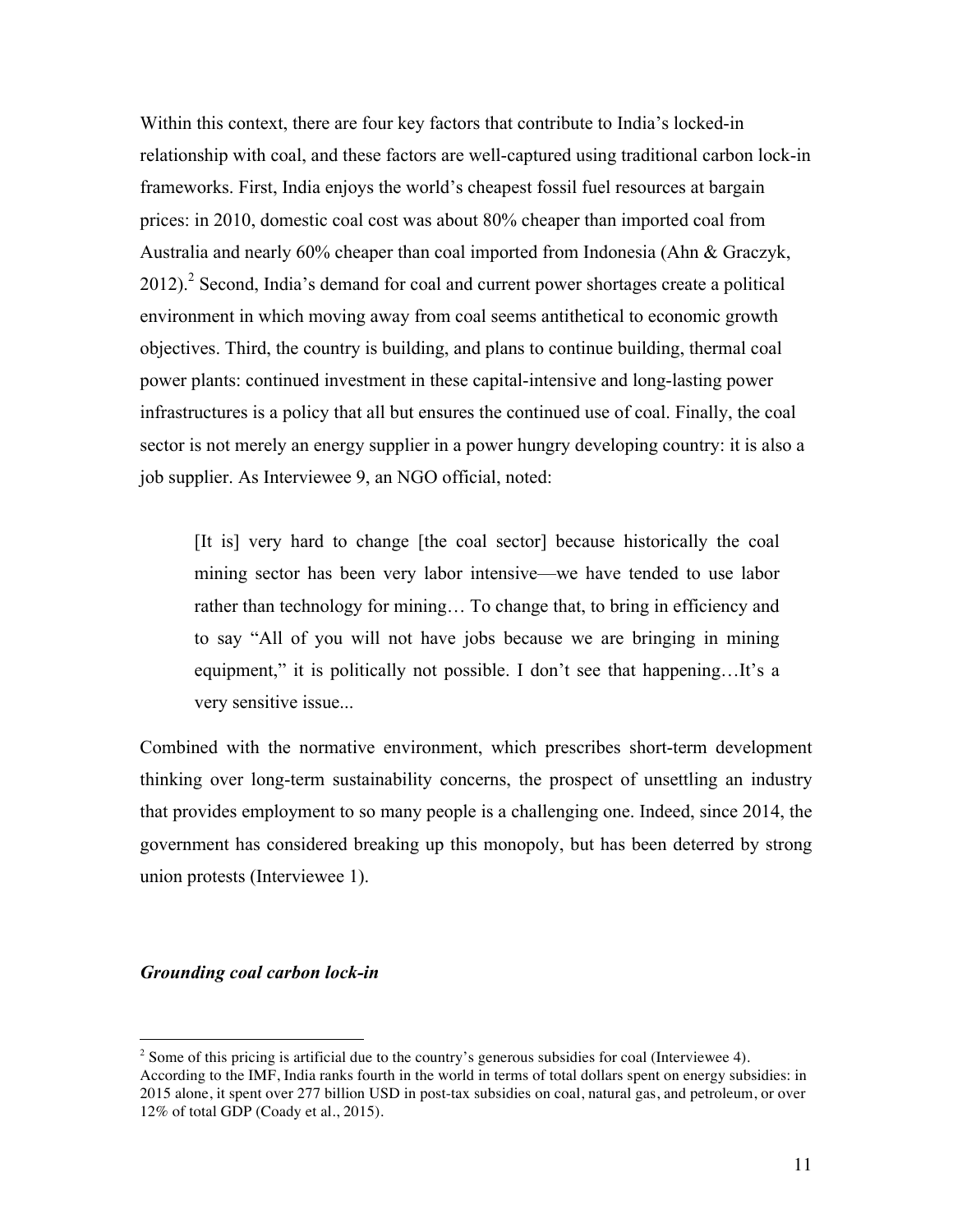Within this context, there are four key factors that contribute to India's locked-in relationship with coal, and these factors are well-captured using traditional carbon lock-in frameworks. First, India enjoys the world's cheapest fossil fuel resources at bargain prices: in 2010, domestic coal cost was about 80% cheaper than imported coal from Australia and nearly 60% cheaper than coal imported from Indonesia (Ahn & Graczyk,  $2012$ ).<sup>2</sup> Second, India's demand for coal and current power shortages create a political environment in which moving away from coal seems antithetical to economic growth objectives. Third, the country is building, and plans to continue building, thermal coal power plants: continued investment in these capital-intensive and long-lasting power infrastructures is a policy that all but ensures the continued use of coal. Finally, the coal sector is not merely an energy supplier in a power hungry developing country: it is also a job supplier. As Interviewee 9, an NGO official, noted:

[It is] very hard to change [the coal sector] because historically the coal mining sector has been very labor intensive—we have tended to use labor rather than technology for mining… To change that, to bring in efficiency and to say "All of you will not have jobs because we are bringing in mining equipment," it is politically not possible. I don't see that happening…It's a very sensitive issue...

Combined with the normative environment, which prescribes short-term development thinking over long-term sustainability concerns, the prospect of unsettling an industry that provides employment to so many people is a challenging one. Indeed, since 2014, the government has considered breaking up this monopoly, but has been deterred by strong union protests (Interviewee 1).

#### *Grounding coal carbon lock-in*

 $2$  Some of this pricing is artificial due to the country's generous subsidies for coal (Interviewee 4). According to the IMF, India ranks fourth in the world in terms of total dollars spent on energy subsidies: in 2015 alone, it spent over 277 billion USD in post-tax subsidies on coal, natural gas, and petroleum, or over 12% of total GDP (Coady et al., 2015).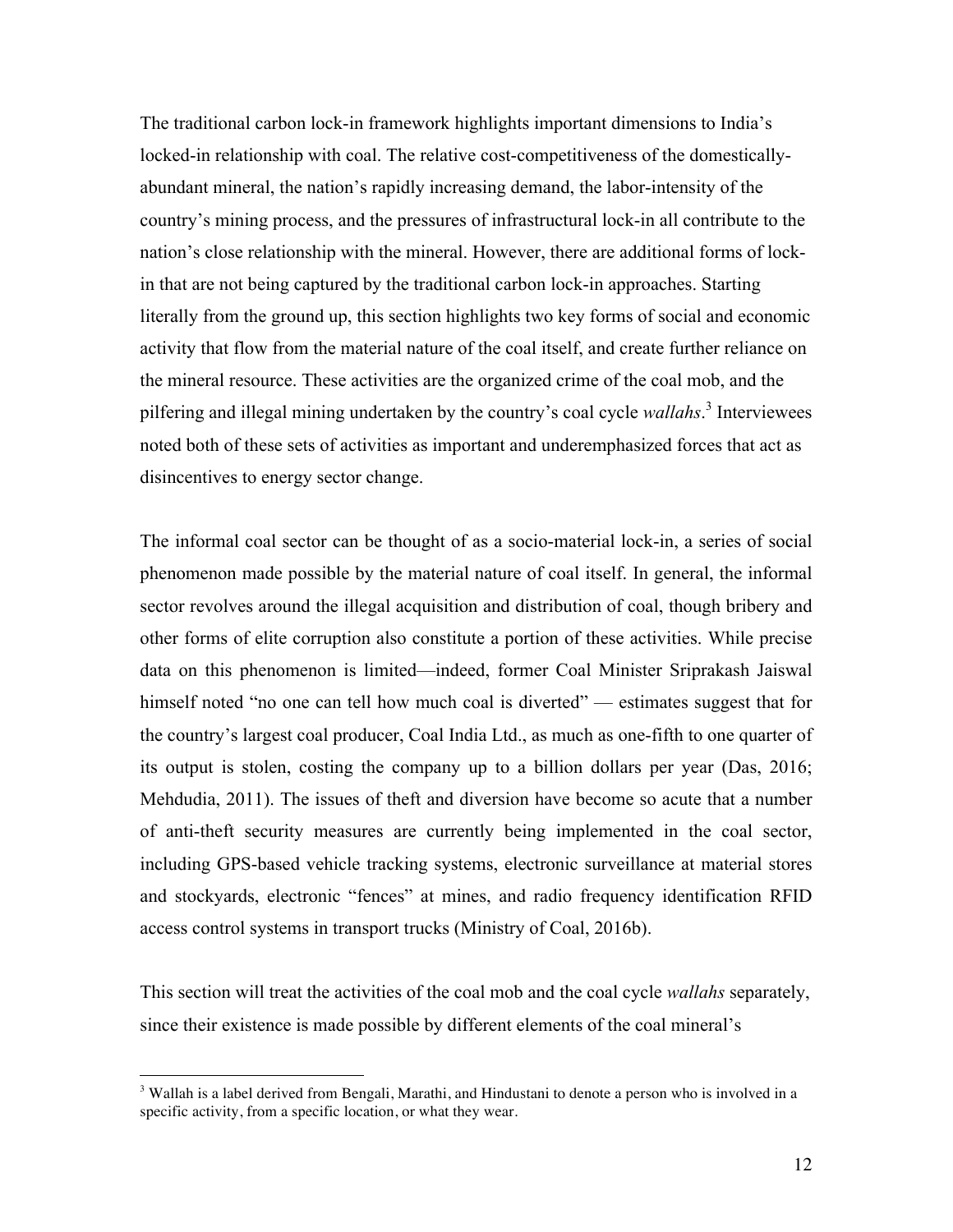The traditional carbon lock-in framework highlights important dimensions to India's locked-in relationship with coal. The relative cost-competitiveness of the domesticallyabundant mineral, the nation's rapidly increasing demand, the labor-intensity of the country's mining process, and the pressures of infrastructural lock-in all contribute to the nation's close relationship with the mineral. However, there are additional forms of lockin that are not being captured by the traditional carbon lock-in approaches. Starting literally from the ground up, this section highlights two key forms of social and economic activity that flow from the material nature of the coal itself, and create further reliance on the mineral resource. These activities are the organized crime of the coal mob, and the pilfering and illegal mining undertaken by the country's coal cycle *wallahs*. <sup>3</sup> Interviewees noted both of these sets of activities as important and underemphasized forces that act as disincentives to energy sector change.

The informal coal sector can be thought of as a socio-material lock-in, a series of social phenomenon made possible by the material nature of coal itself. In general, the informal sector revolves around the illegal acquisition and distribution of coal, though bribery and other forms of elite corruption also constitute a portion of these activities. While precise data on this phenomenon is limited—indeed, former Coal Minister Sriprakash Jaiswal himself noted "no one can tell how much coal is diverted" — estimates suggest that for the country's largest coal producer, Coal India Ltd., as much as one-fifth to one quarter of its output is stolen, costing the company up to a billion dollars per year (Das, 2016; Mehdudia, 2011). The issues of theft and diversion have become so acute that a number of anti-theft security measures are currently being implemented in the coal sector, including GPS-based vehicle tracking systems, electronic surveillance at material stores and stockyards, electronic "fences" at mines, and radio frequency identification RFID access control systems in transport trucks (Ministry of Coal, 2016b).

This section will treat the activities of the coal mob and the coal cycle *wallahs* separately, since their existence is made possible by different elements of the coal mineral's

<sup>&</sup>lt;sup>3</sup> Wallah is a label derived from Bengali, Marathi, and Hindustani to denote a person who is involved in a specific activity, from a specific location, or what they wear.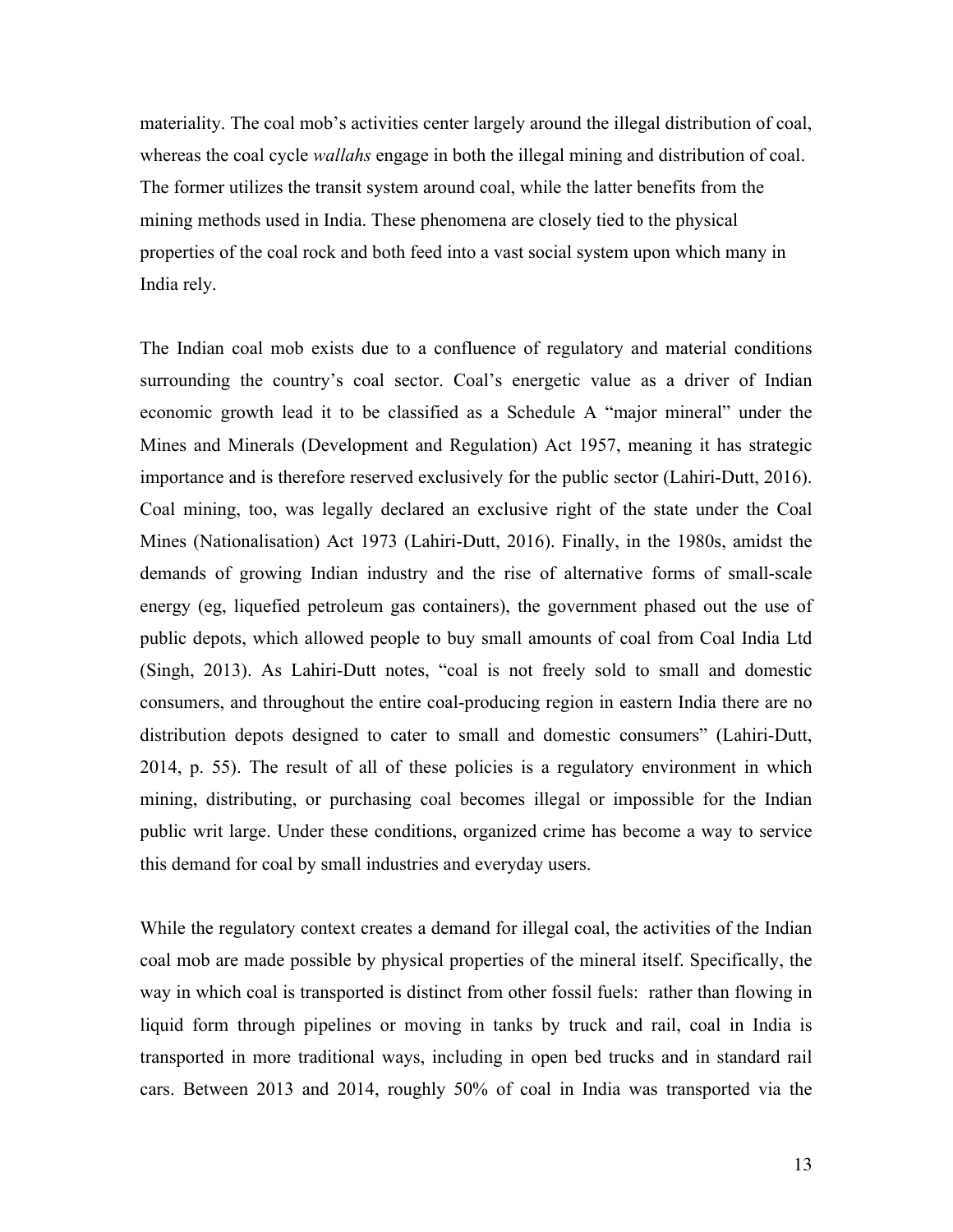materiality. The coal mob's activities center largely around the illegal distribution of coal, whereas the coal cycle *wallahs* engage in both the illegal mining and distribution of coal. The former utilizes the transit system around coal, while the latter benefits from the mining methods used in India. These phenomena are closely tied to the physical properties of the coal rock and both feed into a vast social system upon which many in India rely.

The Indian coal mob exists due to a confluence of regulatory and material conditions surrounding the country's coal sector. Coal's energetic value as a driver of Indian economic growth lead it to be classified as a Schedule A "major mineral" under the Mines and Minerals (Development and Regulation) Act 1957, meaning it has strategic importance and is therefore reserved exclusively for the public sector (Lahiri-Dutt, 2016). Coal mining, too, was legally declared an exclusive right of the state under the Coal Mines (Nationalisation) Act 1973 (Lahiri-Dutt, 2016). Finally, in the 1980s, amidst the demands of growing Indian industry and the rise of alternative forms of small-scale energy (eg, liquefied petroleum gas containers), the government phased out the use of public depots, which allowed people to buy small amounts of coal from Coal India Ltd (Singh, 2013). As Lahiri-Dutt notes, "coal is not freely sold to small and domestic consumers, and throughout the entire coal-producing region in eastern India there are no distribution depots designed to cater to small and domestic consumers" (Lahiri-Dutt, 2014, p. 55). The result of all of these policies is a regulatory environment in which mining, distributing, or purchasing coal becomes illegal or impossible for the Indian public writ large. Under these conditions, organized crime has become a way to service this demand for coal by small industries and everyday users.

While the regulatory context creates a demand for illegal coal, the activities of the Indian coal mob are made possible by physical properties of the mineral itself. Specifically, the way in which coal is transported is distinct from other fossil fuels: rather than flowing in liquid form through pipelines or moving in tanks by truck and rail, coal in India is transported in more traditional ways, including in open bed trucks and in standard rail cars. Between 2013 and 2014, roughly 50% of coal in India was transported via the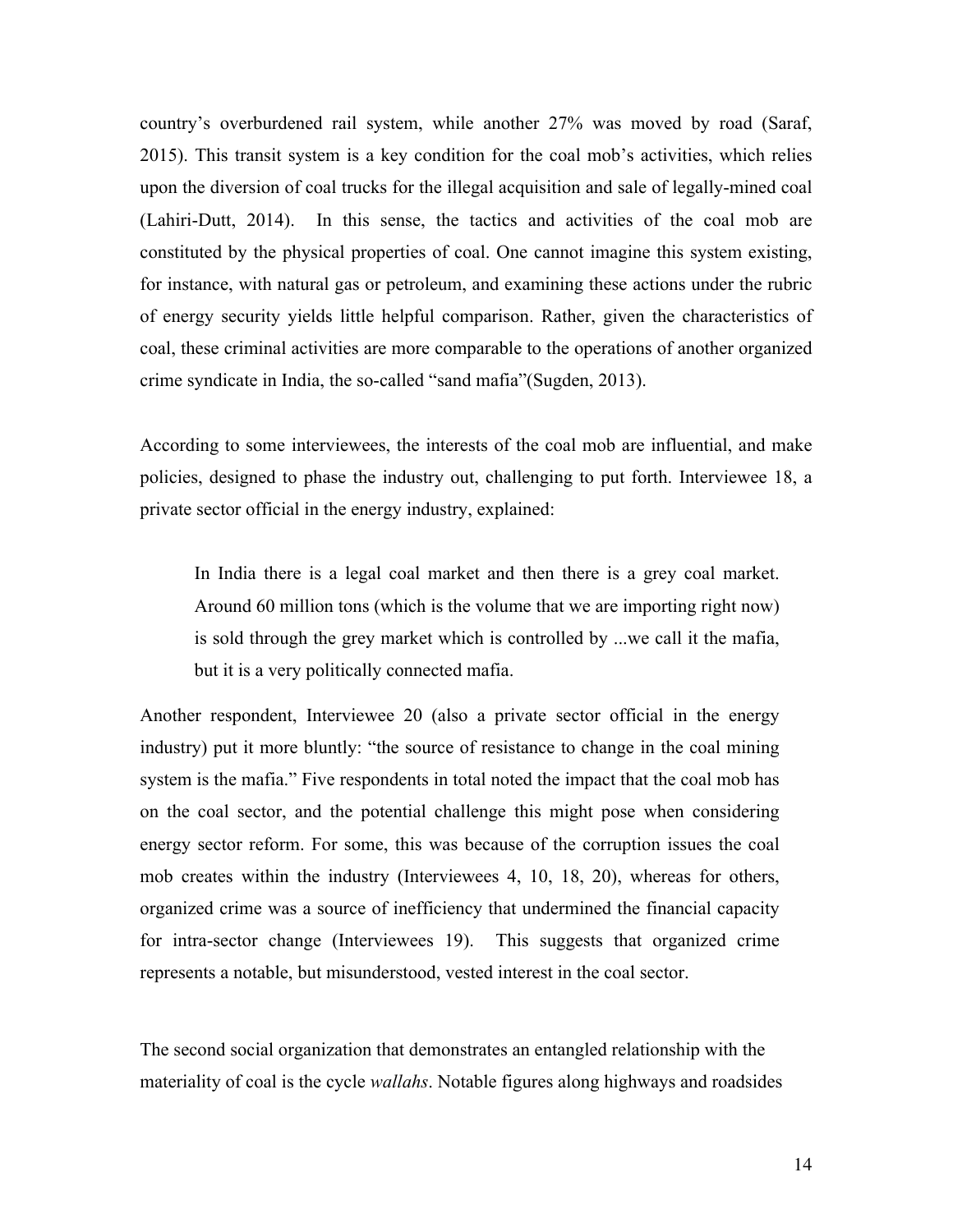country's overburdened rail system, while another 27% was moved by road (Saraf, 2015). This transit system is a key condition for the coal mob's activities, which relies upon the diversion of coal trucks for the illegal acquisition and sale of legally-mined coal (Lahiri-Dutt, 2014). In this sense, the tactics and activities of the coal mob are constituted by the physical properties of coal. One cannot imagine this system existing, for instance, with natural gas or petroleum, and examining these actions under the rubric of energy security yields little helpful comparison. Rather, given the characteristics of coal, these criminal activities are more comparable to the operations of another organized crime syndicate in India, the so-called "sand mafia"(Sugden, 2013).

According to some interviewees, the interests of the coal mob are influential, and make policies, designed to phase the industry out, challenging to put forth. Interviewee 18, a private sector official in the energy industry, explained:

In India there is a legal coal market and then there is a grey coal market. Around 60 million tons (which is the volume that we are importing right now) is sold through the grey market which is controlled by ...we call it the mafia, but it is a very politically connected mafia.

Another respondent, Interviewee 20 (also a private sector official in the energy industry) put it more bluntly: "the source of resistance to change in the coal mining system is the mafia." Five respondents in total noted the impact that the coal mob has on the coal sector, and the potential challenge this might pose when considering energy sector reform. For some, this was because of the corruption issues the coal mob creates within the industry (Interviewees 4, 10, 18, 20), whereas for others, organized crime was a source of inefficiency that undermined the financial capacity for intra-sector change (Interviewees 19). This suggests that organized crime represents a notable, but misunderstood, vested interest in the coal sector.

The second social organization that demonstrates an entangled relationship with the materiality of coal is the cycle *wallahs*. Notable figures along highways and roadsides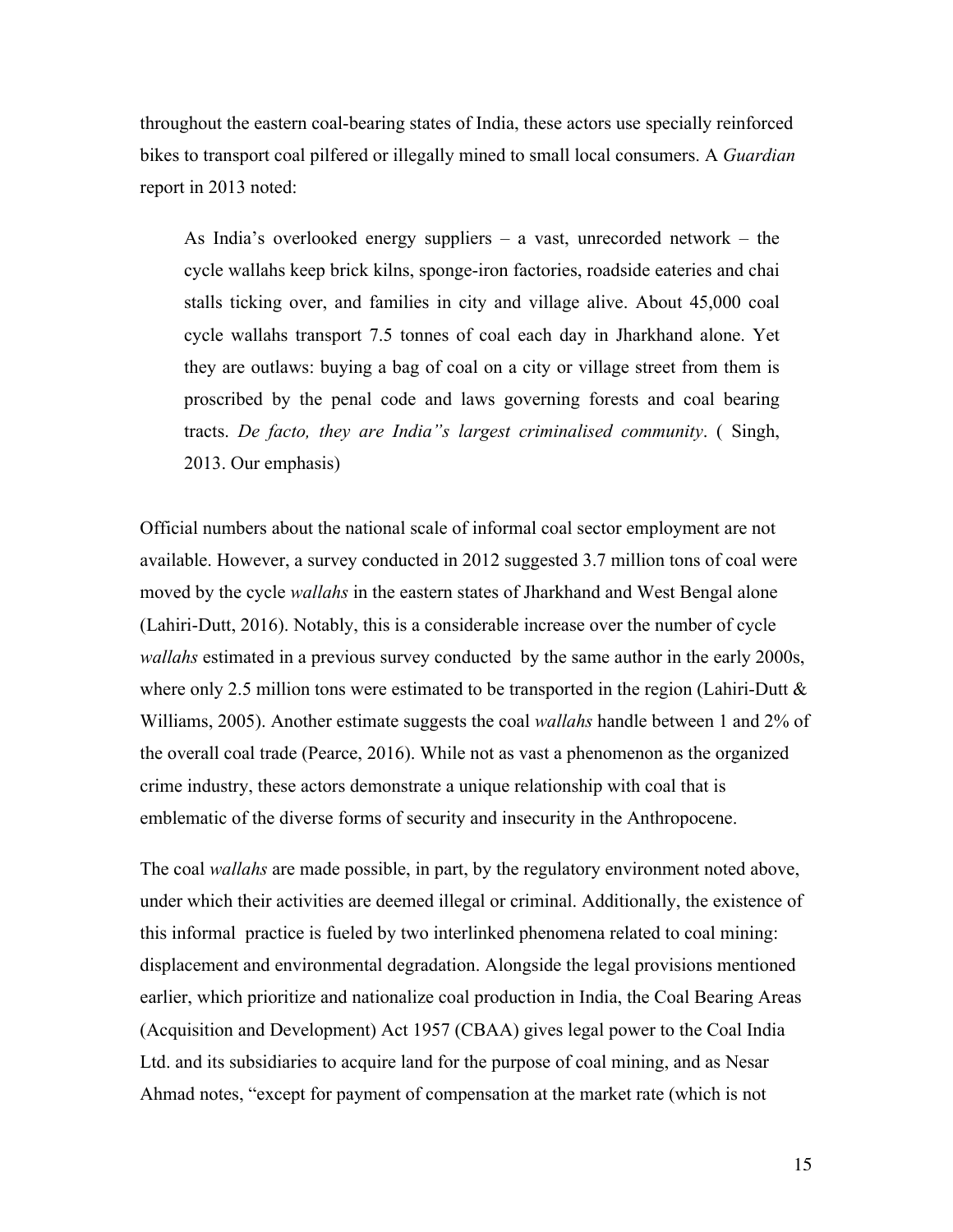throughout the eastern coal-bearing states of India, these actors use specially reinforced bikes to transport coal pilfered or illegally mined to small local consumers. A *Guardian* report in 2013 noted:

As India's overlooked energy suppliers – a vast, unrecorded network – the cycle wallahs keep brick kilns, sponge-iron factories, roadside eateries and chai stalls ticking over, and families in city and village alive. About 45,000 coal cycle wallahs transport 7.5 tonnes of coal each day in Jharkhand alone. Yet they are outlaws: buying a bag of coal on a city or village street from them is proscribed by the penal code and laws governing forests and coal bearing tracts. *De facto, they are India"s largest criminalised community*. ( Singh, 2013. Our emphasis)

Official numbers about the national scale of informal coal sector employment are not available. However, a survey conducted in 2012 suggested 3.7 million tons of coal were moved by the cycle *wallahs* in the eastern states of Jharkhand and West Bengal alone (Lahiri-Dutt, 2016). Notably, this is a considerable increase over the number of cycle *wallahs* estimated in a previous survey conducted by the same author in the early 2000s, where only 2.5 million tons were estimated to be transported in the region (Lahiri-Dutt  $\&$ Williams, 2005). Another estimate suggests the coal *wallahs* handle between 1 and 2% of the overall coal trade (Pearce, 2016). While not as vast a phenomenon as the organized crime industry, these actors demonstrate a unique relationship with coal that is emblematic of the diverse forms of security and insecurity in the Anthropocene.

The coal *wallahs* are made possible, in part, by the regulatory environment noted above, under which their activities are deemed illegal or criminal. Additionally, the existence of this informal practice is fueled by two interlinked phenomena related to coal mining: displacement and environmental degradation. Alongside the legal provisions mentioned earlier, which prioritize and nationalize coal production in India, the Coal Bearing Areas (Acquisition and Development) Act 1957 (CBAA) gives legal power to the Coal India Ltd. and its subsidiaries to acquire land for the purpose of coal mining, and as Nesar Ahmad notes, "except for payment of compensation at the market rate (which is not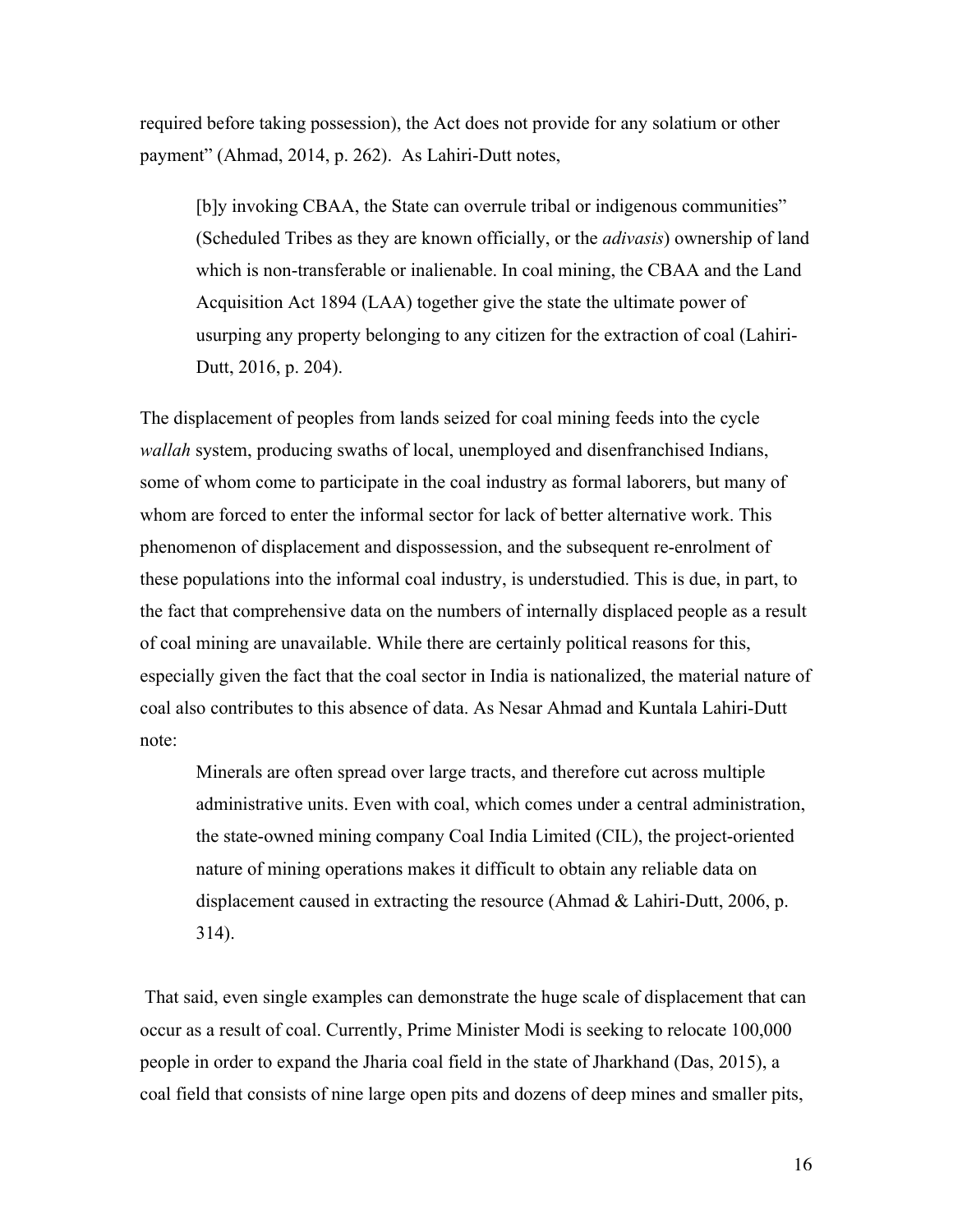required before taking possession), the Act does not provide for any solatium or other payment" (Ahmad, 2014, p. 262). As Lahiri-Dutt notes,

[b]y invoking CBAA, the State can overrule tribal or indigenous communities" (Scheduled Tribes as they are known officially, or the *adivasis*) ownership of land which is non-transferable or inalienable. In coal mining, the CBAA and the Land Acquisition Act 1894 (LAA) together give the state the ultimate power of usurping any property belonging to any citizen for the extraction of coal (Lahiri-Dutt, 2016, p. 204).

The displacement of peoples from lands seized for coal mining feeds into the cycle *wallah* system, producing swaths of local, unemployed and disenfranchised Indians, some of whom come to participate in the coal industry as formal laborers, but many of whom are forced to enter the informal sector for lack of better alternative work. This phenomenon of displacement and dispossession, and the subsequent re-enrolment of these populations into the informal coal industry, is understudied. This is due, in part, to the fact that comprehensive data on the numbers of internally displaced people as a result of coal mining are unavailable. While there are certainly political reasons for this, especially given the fact that the coal sector in India is nationalized, the material nature of coal also contributes to this absence of data. As Nesar Ahmad and Kuntala Lahiri-Dutt note:

Minerals are often spread over large tracts, and therefore cut across multiple administrative units. Even with coal, which comes under a central administration, the state-owned mining company Coal India Limited (CIL), the project-oriented nature of mining operations makes it difficult to obtain any reliable data on displacement caused in extracting the resource (Ahmad & Lahiri-Dutt, 2006, p. 314).

That said, even single examples can demonstrate the huge scale of displacement that can occur as a result of coal. Currently, Prime Minister Modi is seeking to relocate 100,000 people in order to expand the Jharia coal field in the state of Jharkhand (Das, 2015), a coal field that consists of nine large open pits and dozens of deep mines and smaller pits,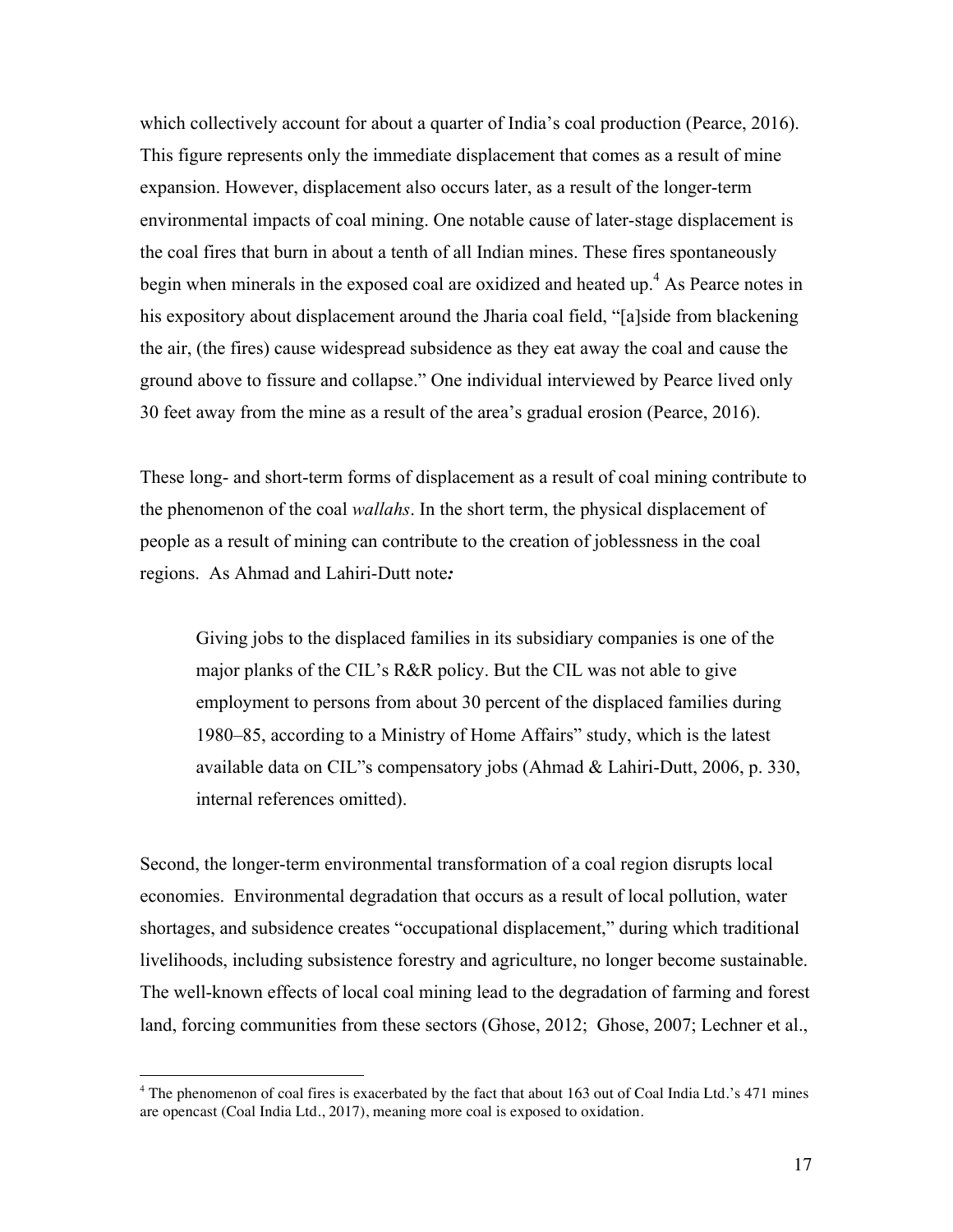which collectively account for about a quarter of India's coal production (Pearce, 2016). This figure represents only the immediate displacement that comes as a result of mine expansion. However, displacement also occurs later, as a result of the longer-term environmental impacts of coal mining. One notable cause of later-stage displacement is the coal fires that burn in about a tenth of all Indian mines. These fires spontaneously begin when minerals in the exposed coal are oxidized and heated up.<sup>4</sup> As Pearce notes in his expository about displacement around the Jharia coal field, "[a]side from blackening the air, (the fires) cause widespread subsidence as they eat away the coal and cause the ground above to fissure and collapse." One individual interviewed by Pearce lived only 30 feet away from the mine as a result of the area's gradual erosion (Pearce, 2016).

These long- and short-term forms of displacement as a result of coal mining contribute to the phenomenon of the coal *wallahs*. In the short term, the physical displacement of people as a result of mining can contribute to the creation of joblessness in the coal regions. As Ahmad and Lahiri-Dutt note*:*

Giving jobs to the displaced families in its subsidiary companies is one of the major planks of the CIL's R&R policy. But the CIL was not able to give employment to persons from about 30 percent of the displaced families during 1980–85, according to a Ministry of Home Affairs" study, which is the latest available data on CIL"s compensatory jobs (Ahmad & Lahiri-Dutt, 2006, p. 330, internal references omitted).

Second, the longer-term environmental transformation of a coal region disrupts local economies. Environmental degradation that occurs as a result of local pollution, water shortages, and subsidence creates "occupational displacement," during which traditional livelihoods, including subsistence forestry and agriculture, no longer become sustainable. The well-known effects of local coal mining lead to the degradation of farming and forest land, forcing communities from these sectors (Ghose, 2012; Ghose, 2007; Lechner et al.,

<sup>&</sup>lt;sup>4</sup> The phenomenon of coal fires is exacerbated by the fact that about 163 out of Coal India Ltd.'s 471 mines are opencast (Coal India Ltd., 2017), meaning more coal is exposed to oxidation.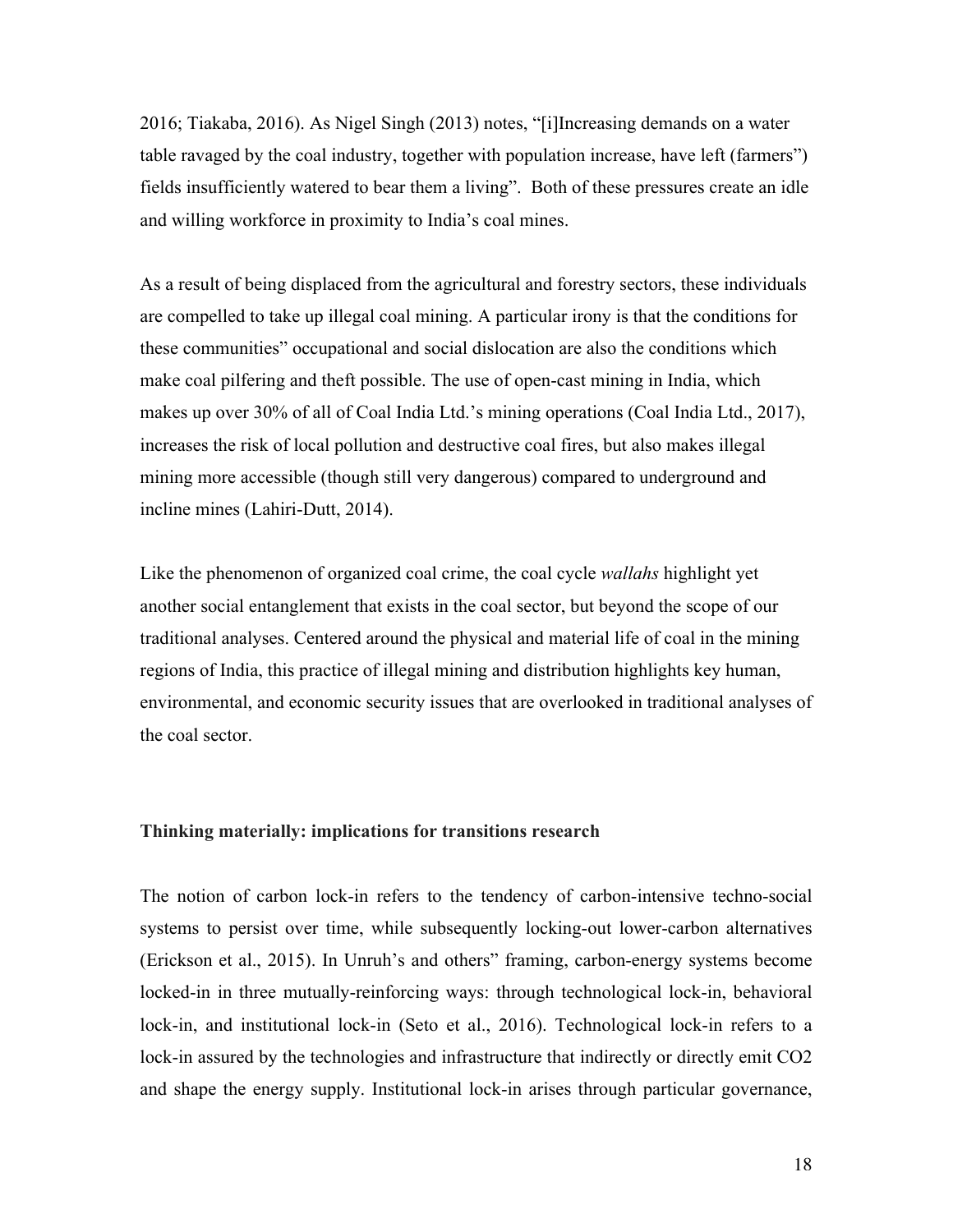2016; Tiakaba, 2016). As Nigel Singh (2013) notes, "[i]Increasing demands on a water table ravaged by the coal industry, together with population increase, have left (farmers") fields insufficiently watered to bear them a living". Both of these pressures create an idle and willing workforce in proximity to India's coal mines.

As a result of being displaced from the agricultural and forestry sectors, these individuals are compelled to take up illegal coal mining. A particular irony is that the conditions for these communities" occupational and social dislocation are also the conditions which make coal pilfering and theft possible. The use of open-cast mining in India, which makes up over 30% of all of Coal India Ltd.'s mining operations (Coal India Ltd., 2017), increases the risk of local pollution and destructive coal fires, but also makes illegal mining more accessible (though still very dangerous) compared to underground and incline mines (Lahiri-Dutt, 2014).

Like the phenomenon of organized coal crime, the coal cycle *wallahs* highlight yet another social entanglement that exists in the coal sector, but beyond the scope of our traditional analyses. Centered around the physical and material life of coal in the mining regions of India, this practice of illegal mining and distribution highlights key human, environmental, and economic security issues that are overlooked in traditional analyses of the coal sector.

## **Thinking materially: implications for transitions research**

The notion of carbon lock-in refers to the tendency of carbon-intensive techno-social systems to persist over time, while subsequently locking-out lower-carbon alternatives (Erickson et al., 2015). In Unruh's and others" framing, carbon-energy systems become locked-in in three mutually-reinforcing ways: through technological lock-in, behavioral lock-in, and institutional lock-in (Seto et al., 2016). Technological lock-in refers to a lock-in assured by the technologies and infrastructure that indirectly or directly emit CO2 and shape the energy supply. Institutional lock-in arises through particular governance,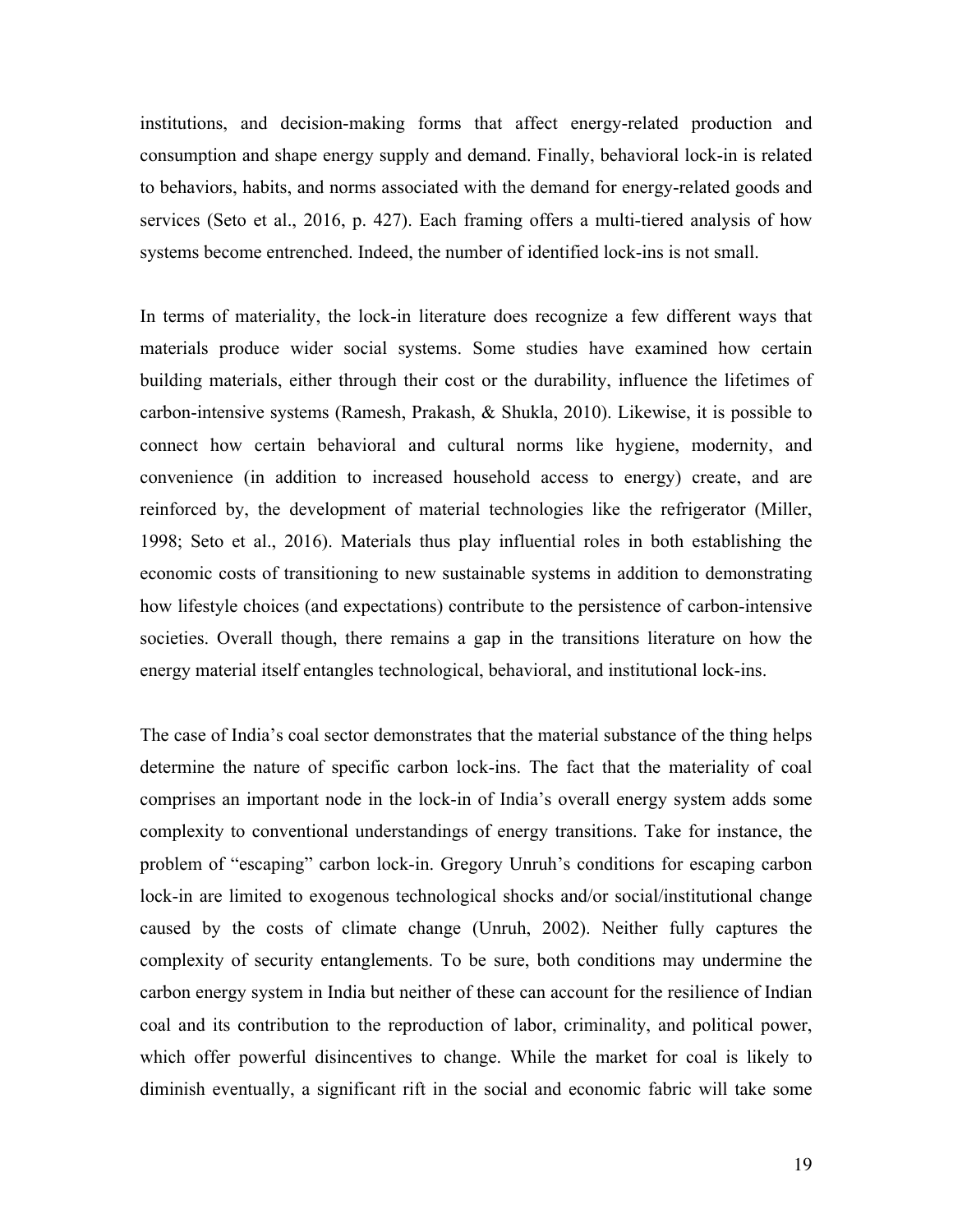institutions, and decision-making forms that affect energy-related production and consumption and shape energy supply and demand. Finally, behavioral lock-in is related to behaviors, habits, and norms associated with the demand for energy-related goods and services (Seto et al., 2016, p. 427). Each framing offers a multi-tiered analysis of how systems become entrenched. Indeed, the number of identified lock-ins is not small.

In terms of materiality, the lock-in literature does recognize a few different ways that materials produce wider social systems. Some studies have examined how certain building materials, either through their cost or the durability, influence the lifetimes of carbon-intensive systems (Ramesh, Prakash, & Shukla, 2010). Likewise, it is possible to connect how certain behavioral and cultural norms like hygiene, modernity, and convenience (in addition to increased household access to energy) create, and are reinforced by, the development of material technologies like the refrigerator (Miller, 1998; Seto et al., 2016). Materials thus play influential roles in both establishing the economic costs of transitioning to new sustainable systems in addition to demonstrating how lifestyle choices (and expectations) contribute to the persistence of carbon-intensive societies. Overall though, there remains a gap in the transitions literature on how the energy material itself entangles technological, behavioral, and institutional lock-ins.

The case of India's coal sector demonstrates that the material substance of the thing helps determine the nature of specific carbon lock-ins. The fact that the materiality of coal comprises an important node in the lock-in of India's overall energy system adds some complexity to conventional understandings of energy transitions. Take for instance, the problem of "escaping" carbon lock-in. Gregory Unruh's conditions for escaping carbon lock-in are limited to exogenous technological shocks and/or social/institutional change caused by the costs of climate change (Unruh, 2002). Neither fully captures the complexity of security entanglements. To be sure, both conditions may undermine the carbon energy system in India but neither of these can account for the resilience of Indian coal and its contribution to the reproduction of labor, criminality, and political power, which offer powerful disincentives to change. While the market for coal is likely to diminish eventually, a significant rift in the social and economic fabric will take some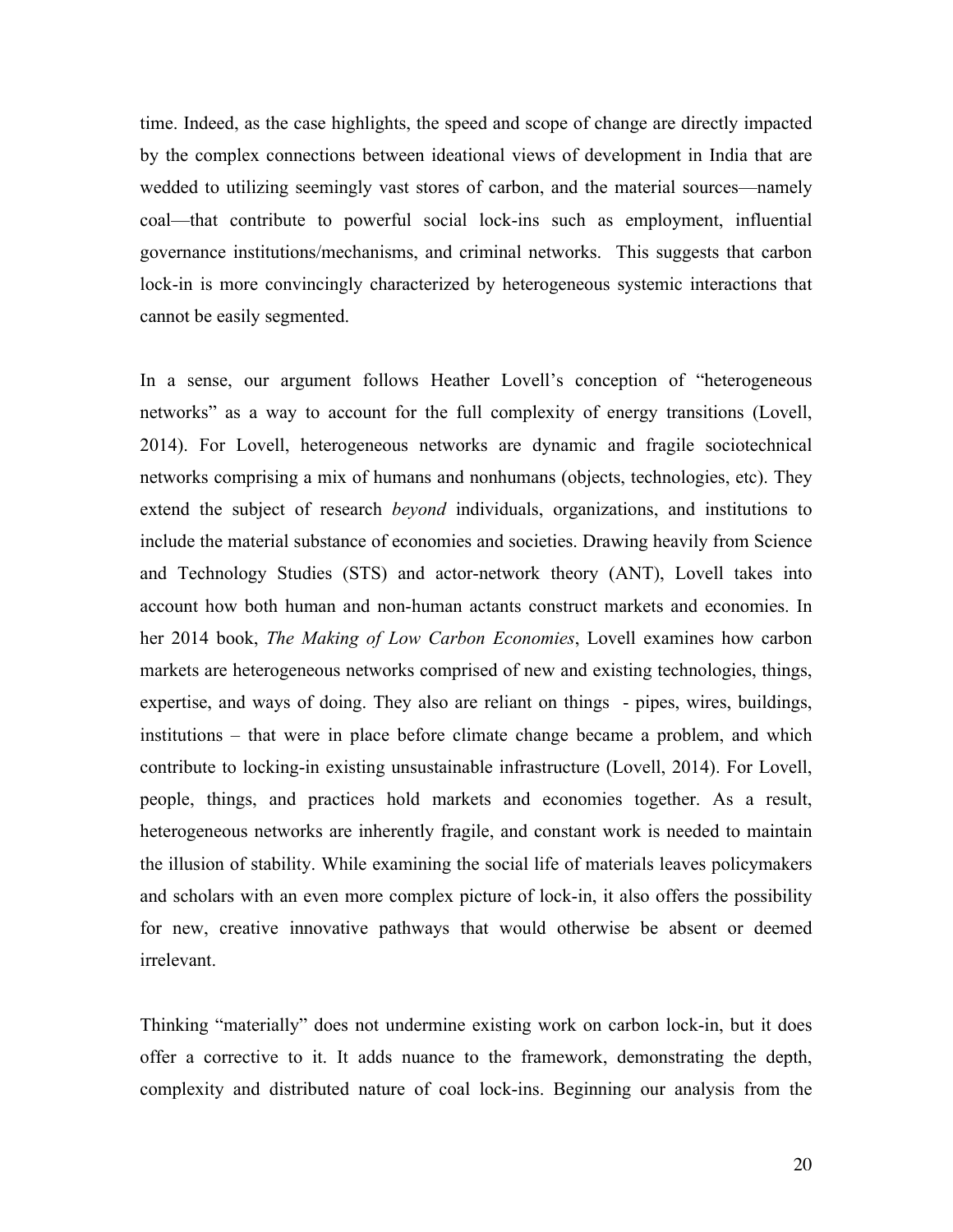time. Indeed, as the case highlights, the speed and scope of change are directly impacted by the complex connections between ideational views of development in India that are wedded to utilizing seemingly vast stores of carbon, and the material sources—namely coal—that contribute to powerful social lock-ins such as employment, influential governance institutions/mechanisms, and criminal networks. This suggests that carbon lock-in is more convincingly characterized by heterogeneous systemic interactions that cannot be easily segmented.

In a sense, our argument follows Heather Lovell's conception of "heterogeneous networks" as a way to account for the full complexity of energy transitions (Lovell, 2014). For Lovell, heterogeneous networks are dynamic and fragile sociotechnical networks comprising a mix of humans and nonhumans (objects, technologies, etc). They extend the subject of research *beyond* individuals, organizations, and institutions to include the material substance of economies and societies. Drawing heavily from Science and Technology Studies (STS) and actor-network theory (ANT), Lovell takes into account how both human and non-human actants construct markets and economies. In her 2014 book, *The Making of Low Carbon Economies*, Lovell examines how carbon markets are heterogeneous networks comprised of new and existing technologies, things, expertise, and ways of doing. They also are reliant on things - pipes, wires, buildings, institutions – that were in place before climate change became a problem, and which contribute to locking-in existing unsustainable infrastructure (Lovell, 2014). For Lovell, people, things, and practices hold markets and economies together. As a result, heterogeneous networks are inherently fragile, and constant work is needed to maintain the illusion of stability. While examining the social life of materials leaves policymakers and scholars with an even more complex picture of lock-in, it also offers the possibility for new, creative innovative pathways that would otherwise be absent or deemed irrelevant.

Thinking "materially" does not undermine existing work on carbon lock-in, but it does offer a corrective to it. It adds nuance to the framework, demonstrating the depth, complexity and distributed nature of coal lock-ins. Beginning our analysis from the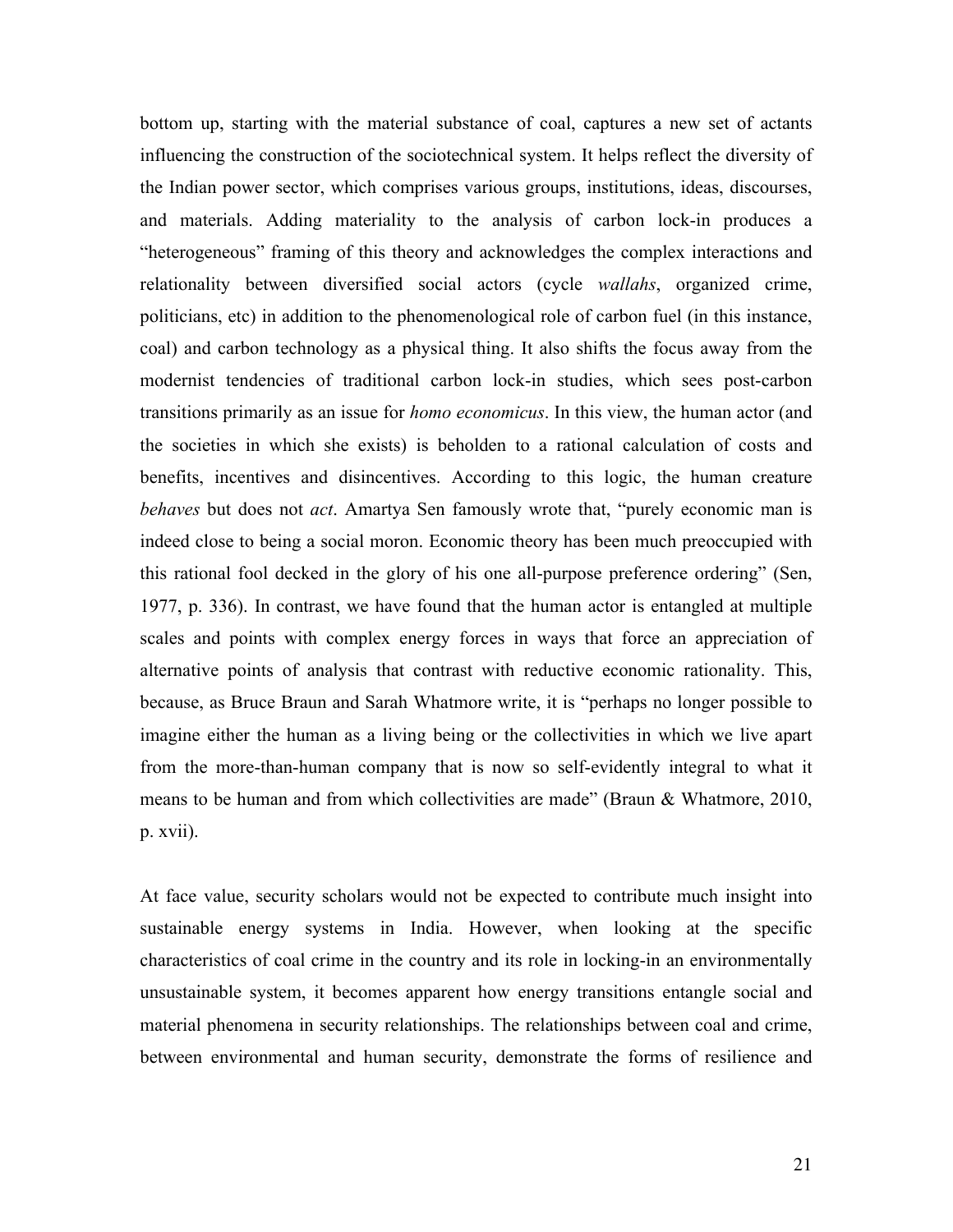bottom up, starting with the material substance of coal, captures a new set of actants influencing the construction of the sociotechnical system. It helps reflect the diversity of the Indian power sector, which comprises various groups, institutions, ideas, discourses, and materials. Adding materiality to the analysis of carbon lock-in produces a "heterogeneous" framing of this theory and acknowledges the complex interactions and relationality between diversified social actors (cycle *wallahs*, organized crime, politicians, etc) in addition to the phenomenological role of carbon fuel (in this instance, coal) and carbon technology as a physical thing. It also shifts the focus away from the modernist tendencies of traditional carbon lock-in studies, which sees post-carbon transitions primarily as an issue for *homo economicus*. In this view, the human actor (and the societies in which she exists) is beholden to a rational calculation of costs and benefits, incentives and disincentives. According to this logic, the human creature *behaves* but does not *act*. Amartya Sen famously wrote that, "purely economic man is indeed close to being a social moron. Economic theory has been much preoccupied with this rational fool decked in the glory of his one all-purpose preference ordering" (Sen, 1977, p. 336). In contrast, we have found that the human actor is entangled at multiple scales and points with complex energy forces in ways that force an appreciation of alternative points of analysis that contrast with reductive economic rationality. This, because, as Bruce Braun and Sarah Whatmore write, it is "perhaps no longer possible to imagine either the human as a living being or the collectivities in which we live apart from the more-than-human company that is now so self-evidently integral to what it means to be human and from which collectivities are made" (Braun & Whatmore, 2010, p. xvii).

At face value, security scholars would not be expected to contribute much insight into sustainable energy systems in India. However, when looking at the specific characteristics of coal crime in the country and its role in locking-in an environmentally unsustainable system, it becomes apparent how energy transitions entangle social and material phenomena in security relationships. The relationships between coal and crime, between environmental and human security, demonstrate the forms of resilience and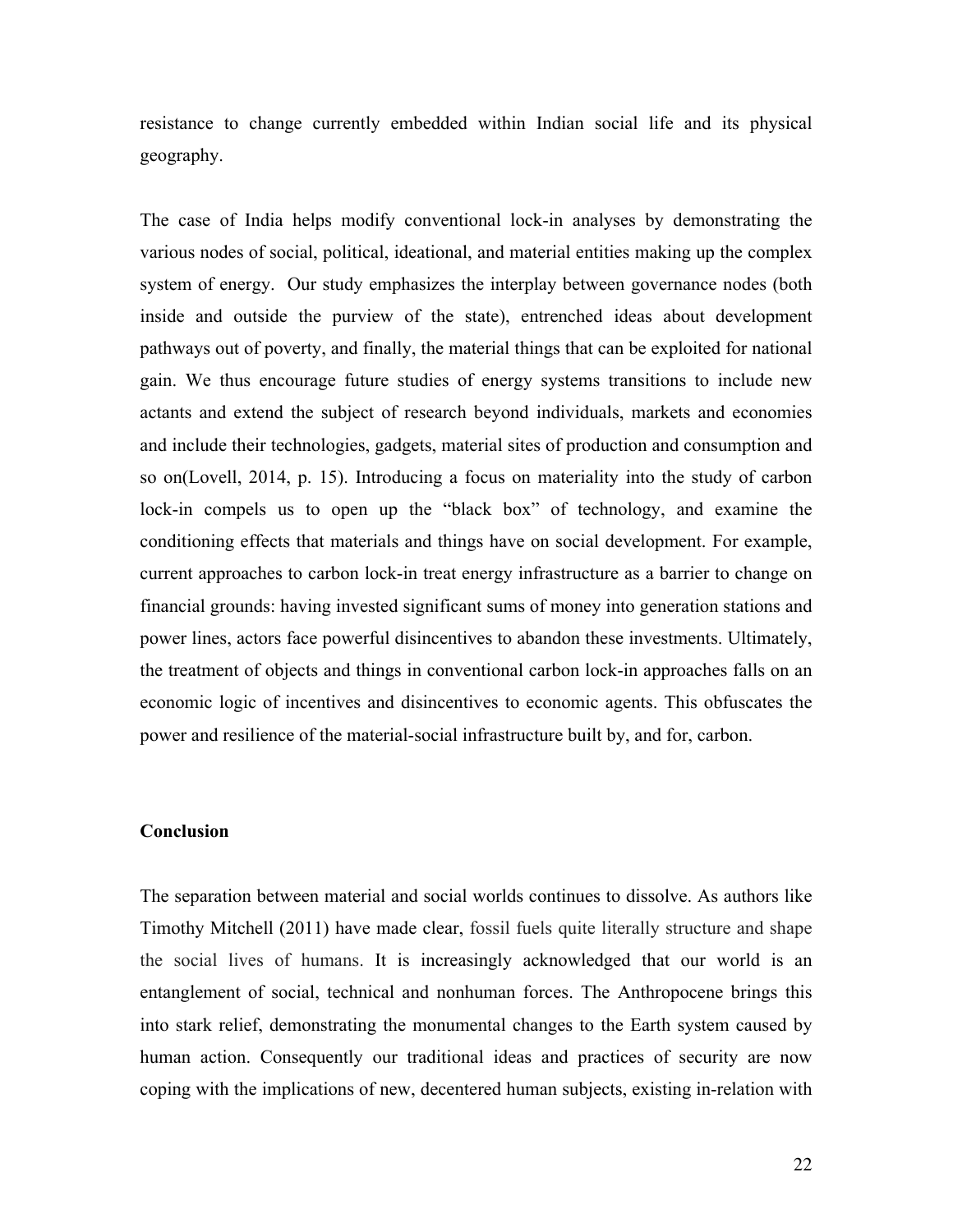resistance to change currently embedded within Indian social life and its physical geography.

The case of India helps modify conventional lock-in analyses by demonstrating the various nodes of social, political, ideational, and material entities making up the complex system of energy. Our study emphasizes the interplay between governance nodes (both inside and outside the purview of the state), entrenched ideas about development pathways out of poverty, and finally, the material things that can be exploited for national gain. We thus encourage future studies of energy systems transitions to include new actants and extend the subject of research beyond individuals, markets and economies and include their technologies, gadgets, material sites of production and consumption and so on(Lovell, 2014, p. 15). Introducing a focus on materiality into the study of carbon lock-in compels us to open up the "black box" of technology, and examine the conditioning effects that materials and things have on social development. For example, current approaches to carbon lock-in treat energy infrastructure as a barrier to change on financial grounds: having invested significant sums of money into generation stations and power lines, actors face powerful disincentives to abandon these investments. Ultimately, the treatment of objects and things in conventional carbon lock-in approaches falls on an economic logic of incentives and disincentives to economic agents. This obfuscates the power and resilience of the material-social infrastructure built by, and for, carbon.

# **Conclusion**

The separation between material and social worlds continues to dissolve. As authors like Timothy Mitchell (2011) have made clear, fossil fuels quite literally structure and shape the social lives of humans. It is increasingly acknowledged that our world is an entanglement of social, technical and nonhuman forces. The Anthropocene brings this into stark relief, demonstrating the monumental changes to the Earth system caused by human action. Consequently our traditional ideas and practices of security are now coping with the implications of new, decentered human subjects, existing in-relation with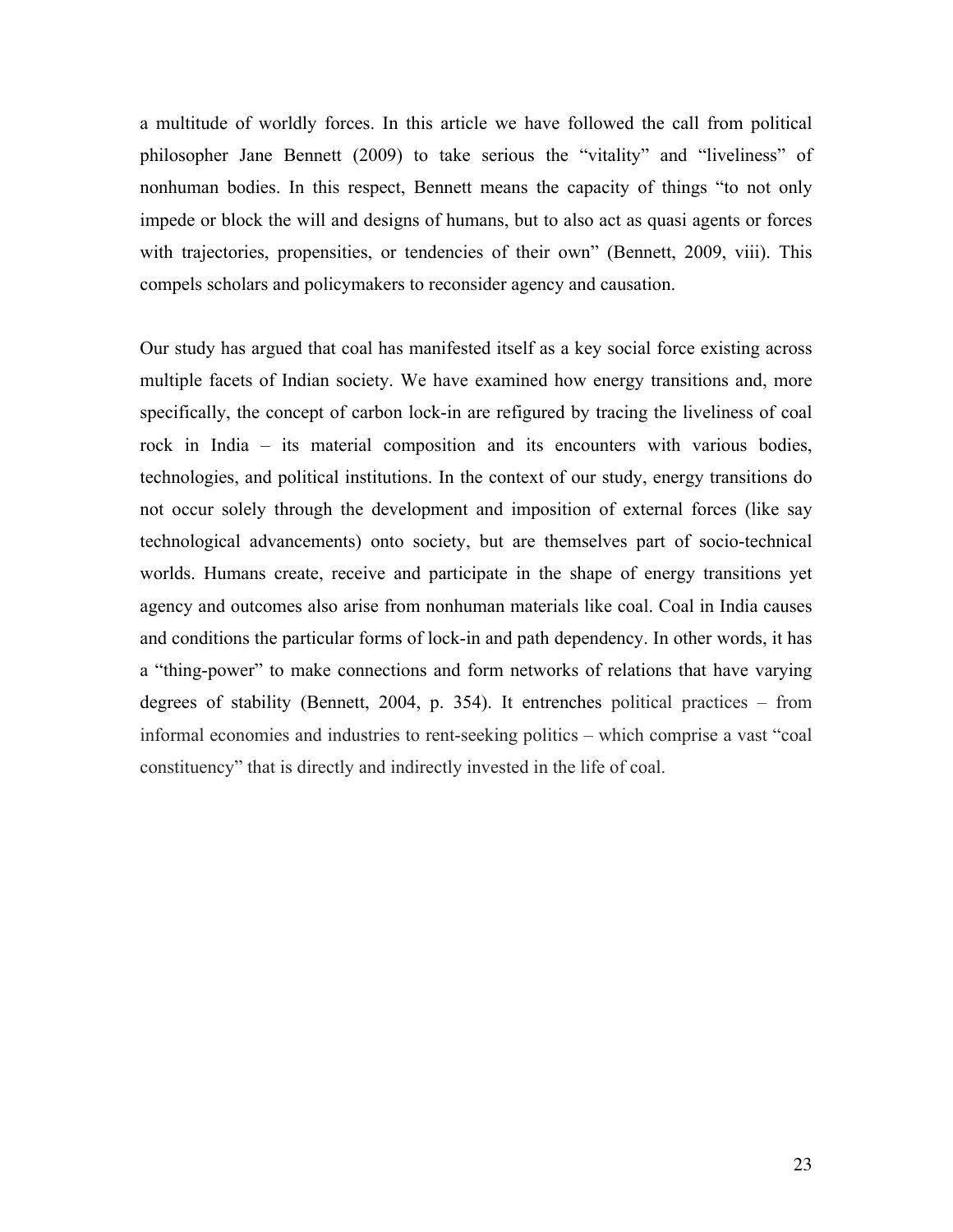a multitude of worldly forces. In this article we have followed the call from political philosopher Jane Bennett (2009) to take serious the "vitality" and "liveliness" of nonhuman bodies. In this respect, Bennett means the capacity of things "to not only impede or block the will and designs of humans, but to also act as quasi agents or forces with trajectories, propensities, or tendencies of their own" (Bennett, 2009, viii). This compels scholars and policymakers to reconsider agency and causation.

Our study has argued that coal has manifested itself as a key social force existing across multiple facets of Indian society. We have examined how energy transitions and, more specifically, the concept of carbon lock-in are refigured by tracing the liveliness of coal rock in India – its material composition and its encounters with various bodies, technologies, and political institutions. In the context of our study, energy transitions do not occur solely through the development and imposition of external forces (like say technological advancements) onto society, but are themselves part of socio-technical worlds. Humans create, receive and participate in the shape of energy transitions yet agency and outcomes also arise from nonhuman materials like coal. Coal in India causes and conditions the particular forms of lock-in and path dependency. In other words, it has a "thing-power" to make connections and form networks of relations that have varying degrees of stability (Bennett, 2004, p. 354). It entrenches political practices – from informal economies and industries to rent-seeking politics – which comprise a vast "coal constituency" that is directly and indirectly invested in the life of coal.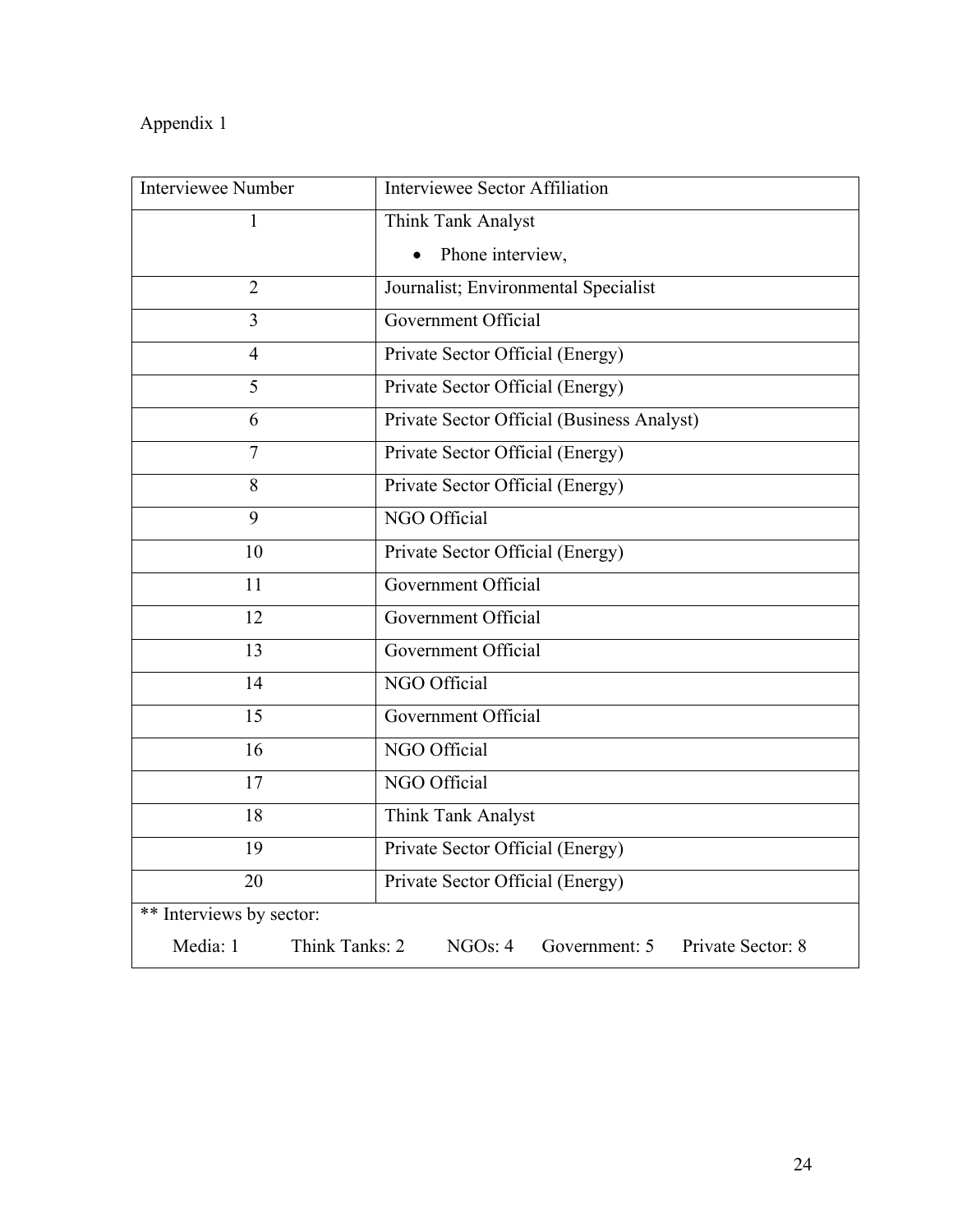# Appendix 1

| Interviewee Number         | <b>Interviewee Sector Affiliation</b>         |
|----------------------------|-----------------------------------------------|
| 1                          | Think Tank Analyst                            |
|                            | Phone interview,                              |
| $\overline{2}$             | Journalist; Environmental Specialist          |
| $\overline{3}$             | Government Official                           |
| $\overline{4}$             | Private Sector Official (Energy)              |
| 5                          | Private Sector Official (Energy)              |
| 6                          | Private Sector Official (Business Analyst)    |
| $\overline{7}$             | Private Sector Official (Energy)              |
| 8                          | Private Sector Official (Energy)              |
| 9                          | NGO Official                                  |
| 10                         | Private Sector Official (Energy)              |
| 11                         | Government Official                           |
| 12                         | Government Official                           |
| 13                         | Government Official                           |
| 14                         | NGO Official                                  |
| 15                         | Government Official                           |
| 16                         | NGO Official                                  |
| 17                         | NGO Official                                  |
| 18                         | Think Tank Analyst                            |
| 19                         | Private Sector Official (Energy)              |
| 20                         | Private Sector Official (Energy)              |
| ** Interviews by sector:   |                                               |
| Media: 1<br>Think Tanks: 2 | NGOs: 4<br>Government: 5<br>Private Sector: 8 |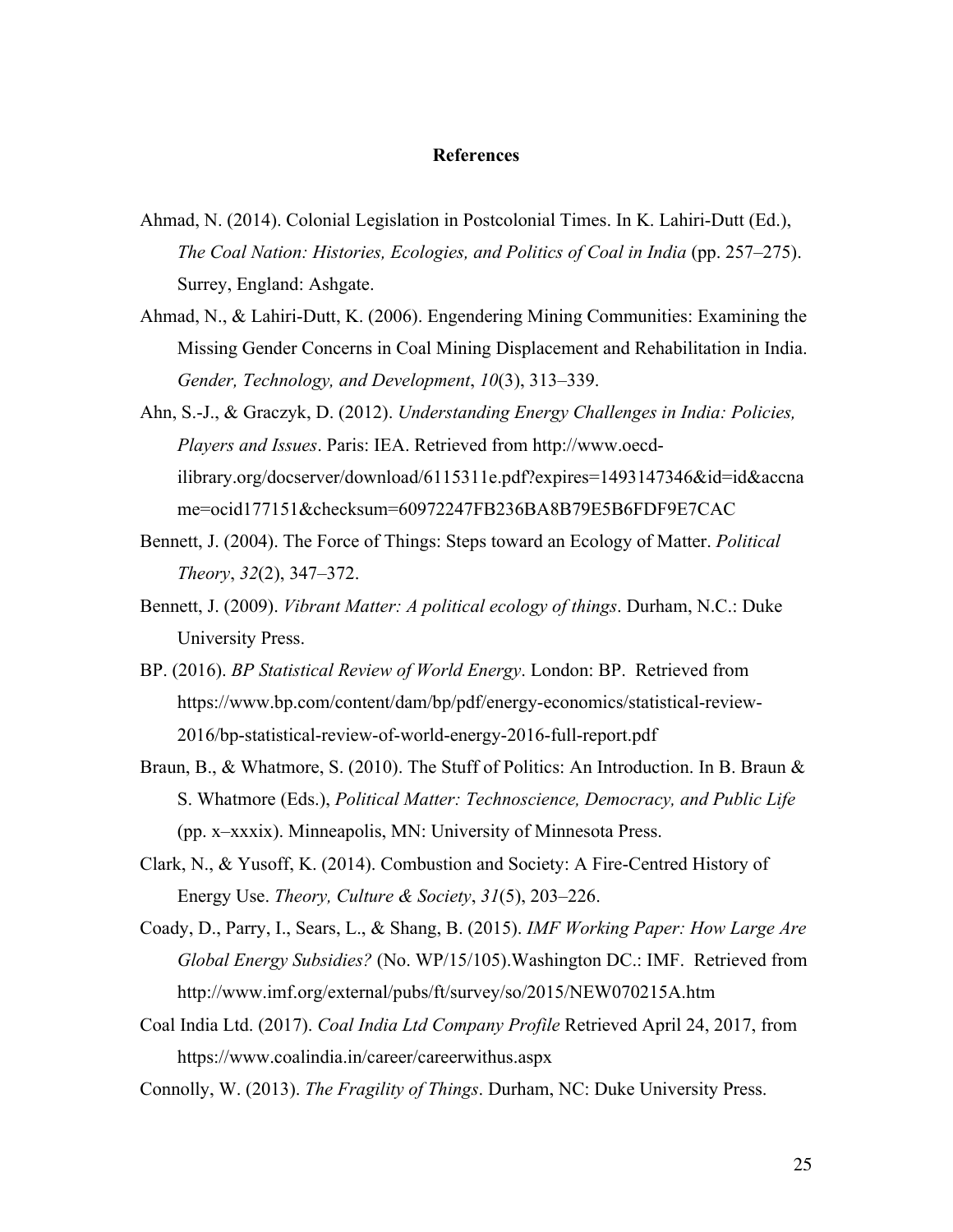#### **References**

- Ahmad, N. (2014). Colonial Legislation in Postcolonial Times. In K. Lahiri-Dutt (Ed.), *The Coal Nation: Histories, Ecologies, and Politics of Coal in India* (pp. 257–275). Surrey, England: Ashgate.
- Ahmad, N., & Lahiri-Dutt, K. (2006). Engendering Mining Communities: Examining the Missing Gender Concerns in Coal Mining Displacement and Rehabilitation in India. *Gender, Technology, and Development*, *10*(3), 313–339.
- Ahn, S.-J., & Graczyk, D. (2012). *Understanding Energy Challenges in India: Policies, Players and Issues*. Paris: IEA. Retrieved from http://www.oecdilibrary.org/docserver/download/6115311e.pdf?expires=1493147346&id=id&accna me=ocid177151&checksum=60972247FB236BA8B79E5B6FDF9E7CAC
- Bennett, J. (2004). The Force of Things: Steps toward an Ecology of Matter. *Political Theory*, *32*(2), 347–372.
- Bennett, J. (2009). *Vibrant Matter: A political ecology of things*. Durham, N.C.: Duke University Press.
- BP. (2016). *BP Statistical Review of World Energy*. London: BP. Retrieved from https://www.bp.com/content/dam/bp/pdf/energy-economics/statistical-review-2016/bp-statistical-review-of-world-energy-2016-full-report.pdf
- Braun, B., & Whatmore, S. (2010). The Stuff of Politics: An Introduction. In B. Braun  $\&$ S. Whatmore (Eds.), *Political Matter: Technoscience, Democracy, and Public Life* (pp. x–xxxix). Minneapolis, MN: University of Minnesota Press.
- Clark, N., & Yusoff, K. (2014). Combustion and Society: A Fire-Centred History of Energy Use. *Theory, Culture & Society*, *31*(5), 203–226.
- Coady, D., Parry, I., Sears, L., & Shang, B. (2015). *IMF Working Paper: How Large Are Global Energy Subsidies?* (No. WP/15/105).Washington DC.: IMF. Retrieved from http://www.imf.org/external/pubs/ft/survey/so/2015/NEW070215A.htm
- Coal India Ltd. (2017). *Coal India Ltd Company Profile* Retrieved April 24, 2017, from https://www.coalindia.in/career/careerwithus.aspx
- Connolly, W. (2013). *The Fragility of Things*. Durham, NC: Duke University Press.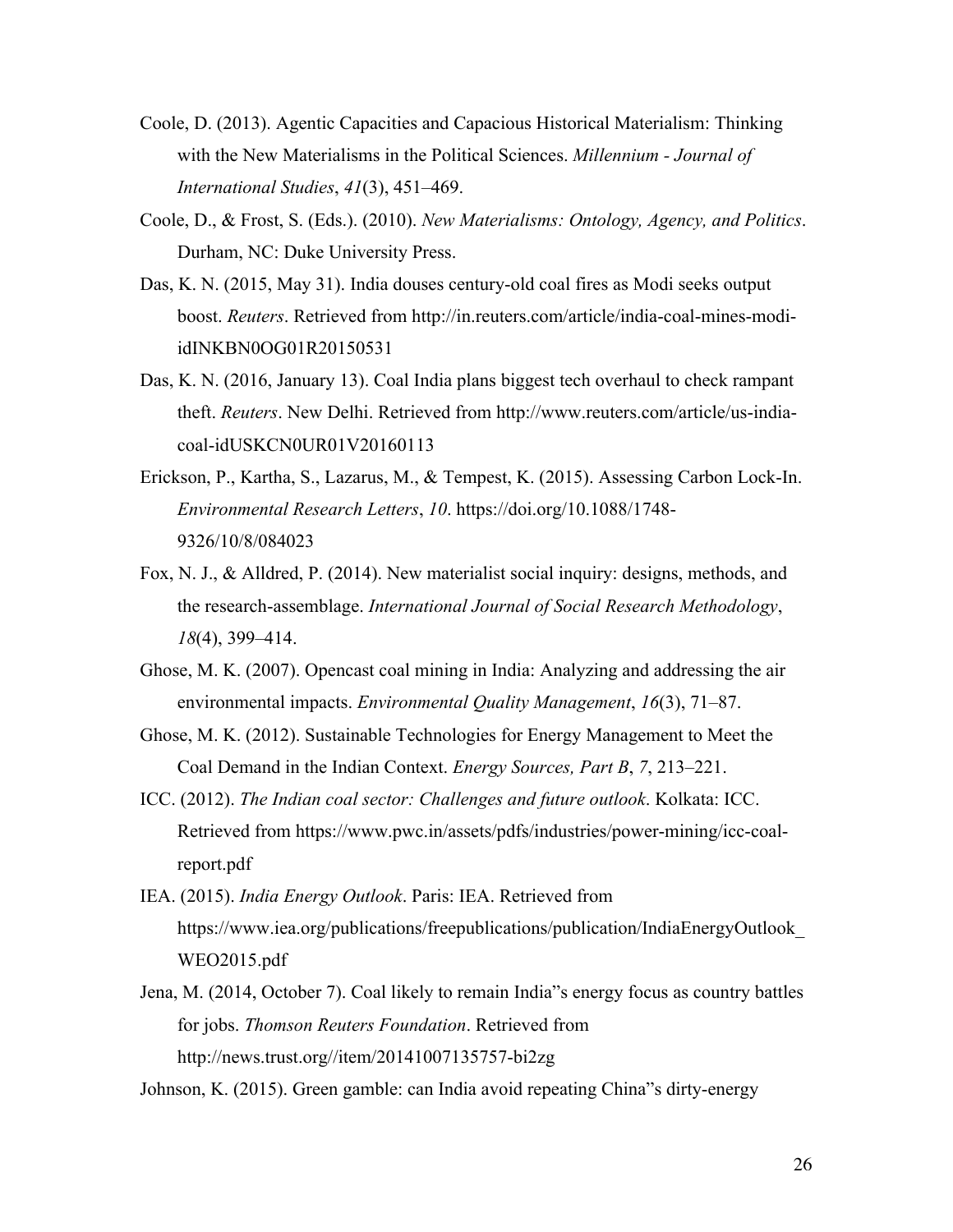- Coole, D. (2013). Agentic Capacities and Capacious Historical Materialism: Thinking with the New Materialisms in the Political Sciences. *Millennium - Journal of International Studies*, *41*(3), 451–469.
- Coole, D., & Frost, S. (Eds.). (2010). *New Materialisms: Ontology, Agency, and Politics*. Durham, NC: Duke University Press.
- Das, K. N. (2015, May 31). India douses century-old coal fires as Modi seeks output boost. *Reuters*. Retrieved from http://in.reuters.com/article/india-coal-mines-modiidINKBN0OG01R20150531
- Das, K. N. (2016, January 13). Coal India plans biggest tech overhaul to check rampant theft. *Reuters*. New Delhi. Retrieved from http://www.reuters.com/article/us-indiacoal-idUSKCN0UR01V20160113
- Erickson, P., Kartha, S., Lazarus, M., & Tempest, K. (2015). Assessing Carbon Lock-In. *Environmental Research Letters*, *10*. https://doi.org/10.1088/1748- 9326/10/8/084023
- Fox, N. J., & Alldred, P. (2014). New materialist social inquiry: designs, methods, and the research-assemblage. *International Journal of Social Research Methodology*, *18*(4), 399–414.
- Ghose, M. K. (2007). Opencast coal mining in India: Analyzing and addressing the air environmental impacts. *Environmental Quality Management*, *16*(3), 71–87.
- Ghose, M. K. (2012). Sustainable Technologies for Energy Management to Meet the Coal Demand in the Indian Context. *Energy Sources, Part B*, *7*, 213–221.
- ICC. (2012). *The Indian coal sector: Challenges and future outlook*. Kolkata: ICC. Retrieved from https://www.pwc.in/assets/pdfs/industries/power-mining/icc-coalreport.pdf
- IEA. (2015). *India Energy Outlook*. Paris: IEA. Retrieved from https://www.iea.org/publications/freepublications/publication/IndiaEnergyOutlook\_ WEO2015.pdf
- Jena, M. (2014, October 7). Coal likely to remain India"s energy focus as country battles for jobs. *Thomson Reuters Foundation*. Retrieved from http://news.trust.org//item/20141007135757-bi2zg

Johnson, K. (2015). Green gamble: can India avoid repeating China"s dirty-energy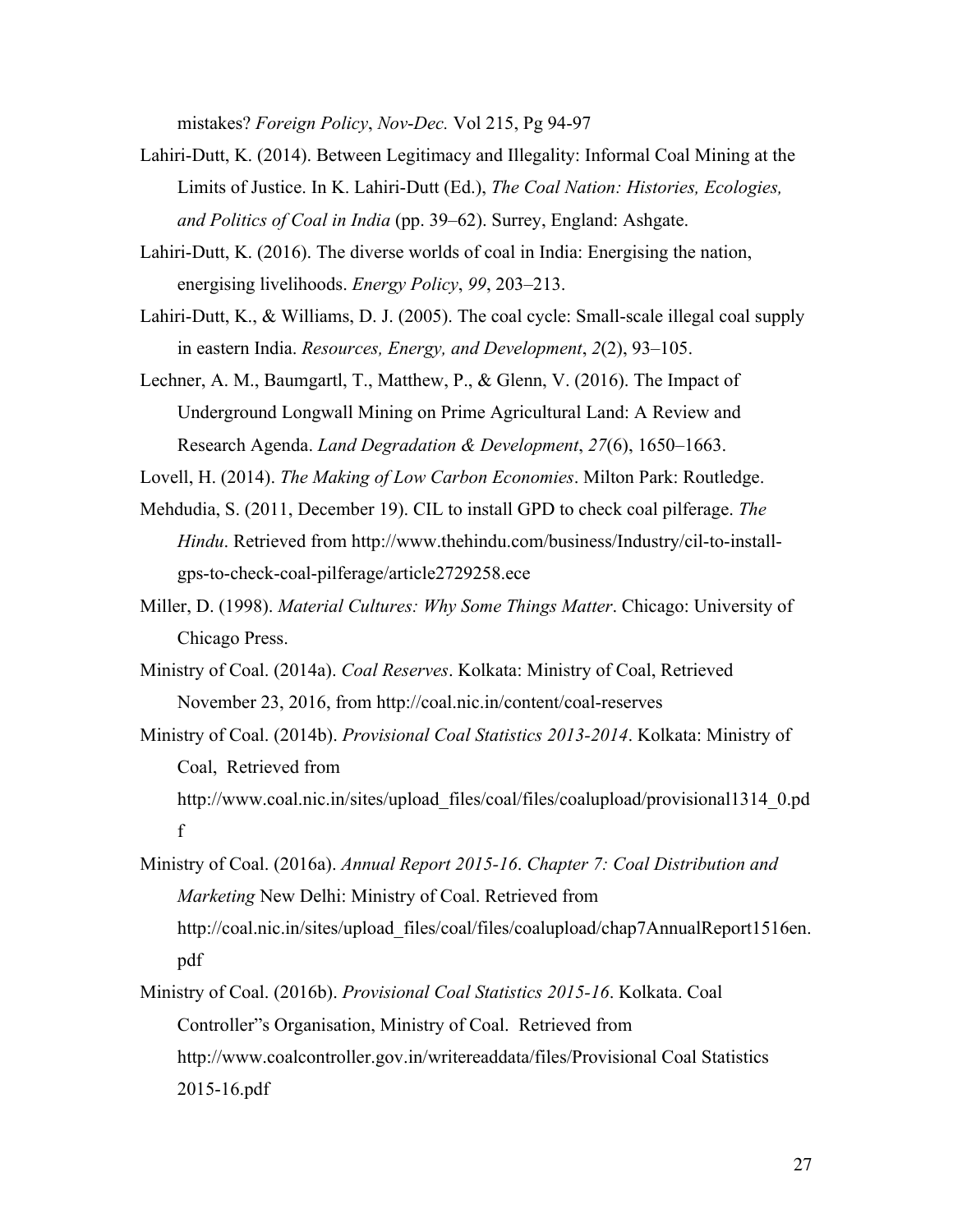mistakes? *Foreign Policy*, *Nov*-*Dec.* Vol 215, Pg 94-97

- Lahiri-Dutt, K. (2014). Between Legitimacy and Illegality: Informal Coal Mining at the Limits of Justice. In K. Lahiri-Dutt (Ed.), *The Coal Nation: Histories, Ecologies, and Politics of Coal in India* (pp. 39–62). Surrey, England: Ashgate.
- Lahiri-Dutt, K. (2016). The diverse worlds of coal in India: Energising the nation, energising livelihoods. *Energy Policy*, *99*, 203–213.
- Lahiri-Dutt, K., & Williams, D. J. (2005). The coal cycle: Small-scale illegal coal supply in eastern India. *Resources, Energy, and Development*, *2*(2), 93–105.
- Lechner, A. M., Baumgartl, T., Matthew, P., & Glenn, V. (2016). The Impact of Underground Longwall Mining on Prime Agricultural Land: A Review and Research Agenda. *Land Degradation & Development*, *27*(6), 1650–1663.
- Lovell, H. (2014). *The Making of Low Carbon Economies*. Milton Park: Routledge.
- Mehdudia, S. (2011, December 19). CIL to install GPD to check coal pilferage. *The Hindu*. Retrieved from http://www.thehindu.com/business/Industry/cil-to-installgps-to-check-coal-pilferage/article2729258.ece
- Miller, D. (1998). *Material Cultures: Why Some Things Matter*. Chicago: University of Chicago Press.
- Ministry of Coal. (2014a). *Coal Reserves*. Kolkata: Ministry of Coal, Retrieved November 23, 2016, from http://coal.nic.in/content/coal-reserves
- Ministry of Coal. (2014b). *Provisional Coal Statistics 2013-2014*. Kolkata: Ministry of Coal, Retrieved from http://www.coal.nic.in/sites/upload\_files/coal/files/coalupload/provisional1314\_0.pd f
- Ministry of Coal. (2016a). *Annual Report 2015-16*. *Chapter 7: Coal Distribution and Marketing* New Delhi: Ministry of Coal. Retrieved from http://coal.nic.in/sites/upload\_files/coal/files/coalupload/chap7AnnualReport1516en. pdf
- Ministry of Coal. (2016b). *Provisional Coal Statistics 2015-16*. Kolkata. Coal Controller"s Organisation, Ministry of Coal. Retrieved from http://www.coalcontroller.gov.in/writereaddata/files/Provisional Coal Statistics 2015-16.pdf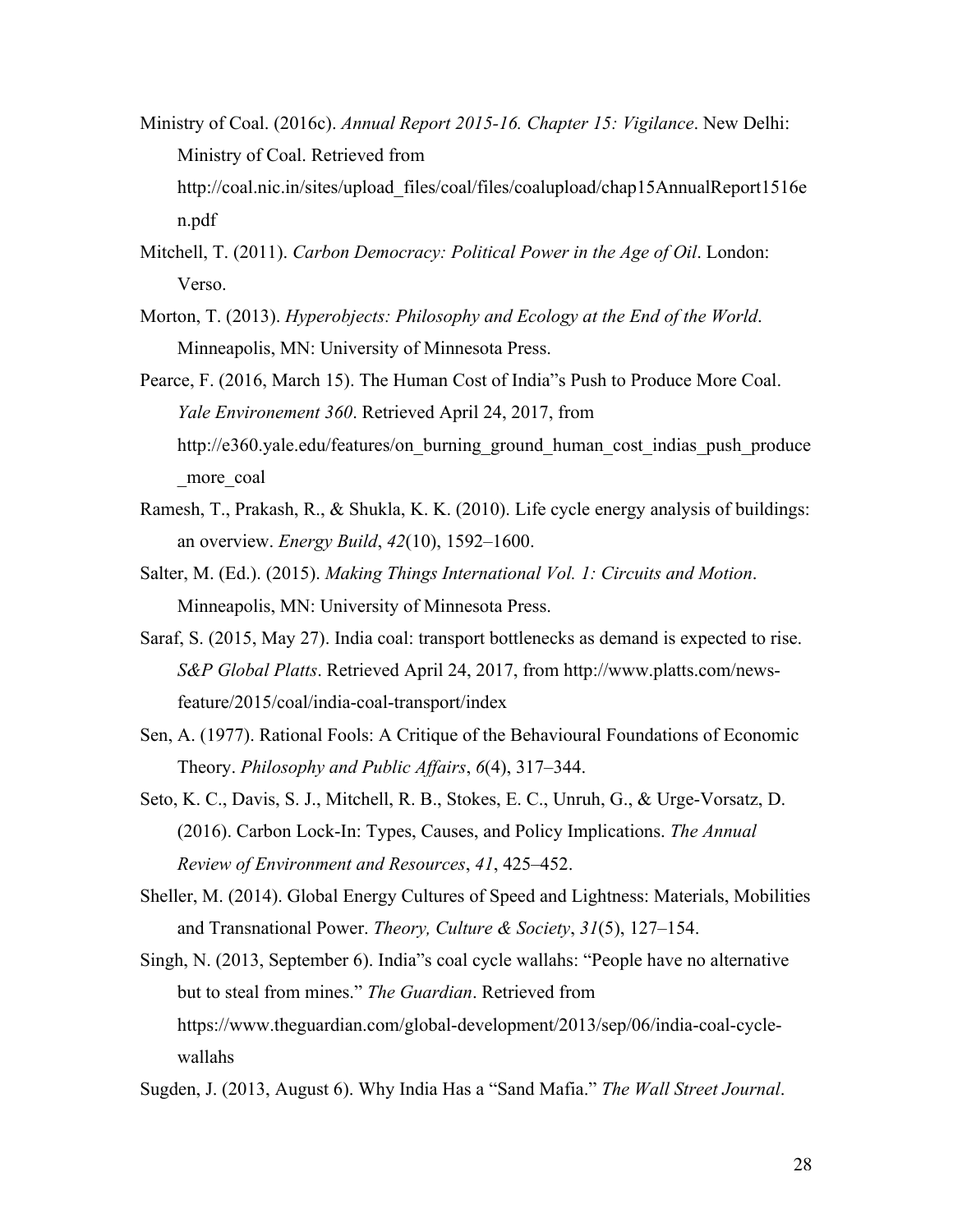- Ministry of Coal. (2016c). *Annual Report 2015-16. Chapter 15: Vigilance*. New Delhi: Ministry of Coal. Retrieved from http://coal.nic.in/sites/upload\_files/coal/files/coalupload/chap15AnnualReport1516e n.pdf
- Mitchell, T. (2011). *Carbon Democracy: Political Power in the Age of Oil*. London: Verso.
- Morton, T. (2013). *Hyperobjects: Philosophy and Ecology at the End of the World*. Minneapolis, MN: University of Minnesota Press.
- Pearce, F. (2016, March 15). The Human Cost of India"s Push to Produce More Coal. *Yale Environement 360*. Retrieved April 24, 2017, from http://e360.yale.edu/features/on\_burning\_ground\_human\_cost\_indias\_push\_produce \_more\_coal
- Ramesh, T., Prakash, R., & Shukla, K. K. (2010). Life cycle energy analysis of buildings: an overview. *Energy Build*, *42*(10), 1592–1600.
- Salter, M. (Ed.). (2015). *Making Things International Vol. 1: Circuits and Motion*. Minneapolis, MN: University of Minnesota Press.
- Saraf, S. (2015, May 27). India coal: transport bottlenecks as demand is expected to rise. *S&P Global Platts*. Retrieved April 24, 2017, from http://www.platts.com/newsfeature/2015/coal/india-coal-transport/index
- Sen, A. (1977). Rational Fools: A Critique of the Behavioural Foundations of Economic Theory. *Philosophy and Public Affairs*, *6*(4), 317–344.
- Seto, K. C., Davis, S. J., Mitchell, R. B., Stokes, E. C., Unruh, G., & Urge-Vorsatz, D. (2016). Carbon Lock-In: Types, Causes, and Policy Implications. *The Annual Review of Environment and Resources*, *41*, 425–452.
- Sheller, M. (2014). Global Energy Cultures of Speed and Lightness: Materials, Mobilities and Transnational Power. *Theory, Culture & Society*, *31*(5), 127–154.
- Singh, N. (2013, September 6). India"s coal cycle wallahs: "People have no alternative but to steal from mines." *The Guardian*. Retrieved from https://www.theguardian.com/global-development/2013/sep/06/india-coal-cyclewallahs
- Sugden, J. (2013, August 6). Why India Has a "Sand Mafia." *The Wall Street Journal*.